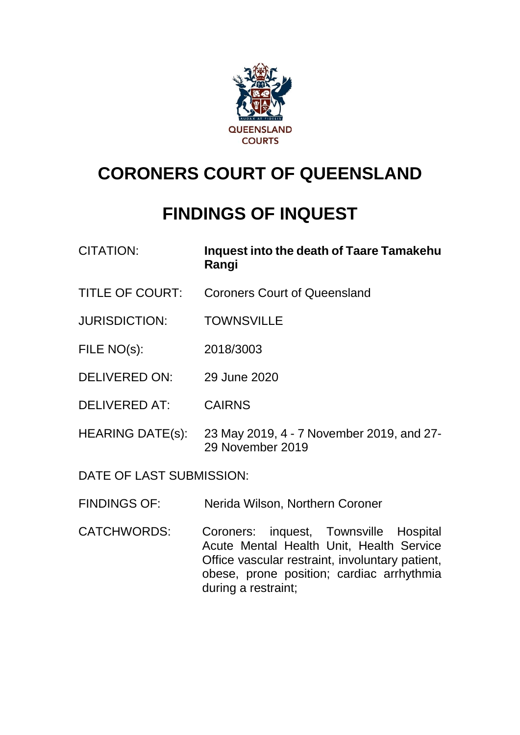

# **CORONERS COURT OF QUEENSLAND**

## **FINDINGS OF INQUEST**

- CITATION: **Inquest into the death of Taare Tamakehu Rangi**
- TITLE OF COURT: Coroners Court of Queensland
- JURISDICTION: TOWNSVILLE
- FILE NO(s): 2018/3003
- DELIVERED ON: 29 June 2020
- DELIVERED AT: CAIRNS
- HEARING DATE(s): 23 May 2019, 4 7 November 2019, and 27- 29 November 2019

DATE OF LAST SUBMISSION:

- FINDINGS OF: Nerida Wilson, Northern Coroner
- CATCHWORDS: Coroners: inquest, Townsville Hospital Acute Mental Health Unit, Health Service Office vascular restraint, involuntary patient, obese, prone position; cardiac arrhythmia during a restraint;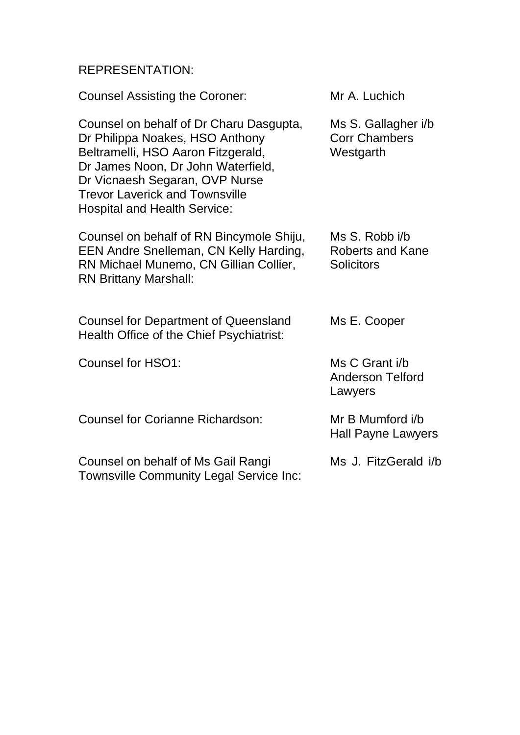## REPRESENTATION:

| <b>Counsel Assisting the Coroner:</b>                                                                                                                                                                                                                                    | Mr A. Luchich                                            |
|--------------------------------------------------------------------------------------------------------------------------------------------------------------------------------------------------------------------------------------------------------------------------|----------------------------------------------------------|
| Counsel on behalf of Dr Charu Dasgupta,<br>Dr Philippa Noakes, HSO Anthony<br>Beltramelli, HSO Aaron Fitzgerald,<br>Dr James Noon, Dr John Waterfield,<br>Dr Vicnaesh Segaran, OVP Nurse<br><b>Trevor Laverick and Townsville</b><br><b>Hospital and Health Service:</b> | Ms S. Gallagher i/b<br><b>Corr Chambers</b><br>Westgarth |
| Counsel on behalf of RN Bincymole Shiju,<br>EEN Andre Snelleman, CN Kelly Harding,<br>RN Michael Munemo, CN Gillian Collier,<br><b>RN Brittany Marshall:</b>                                                                                                             | Ms S. Robb i/b<br>Roberts and Kane<br><b>Solicitors</b>  |
| <b>Counsel for Department of Queensland</b><br>Health Office of the Chief Psychiatrist:                                                                                                                                                                                  | Ms E. Cooper                                             |
| Counsel for HSO1:                                                                                                                                                                                                                                                        | Ms C Grant i/b<br><b>Anderson Telford</b><br>Lawyers     |
| <b>Counsel for Corianne Richardson:</b>                                                                                                                                                                                                                                  | Mr B Mumford i/b<br>Hall Payne Lawyers                   |
| Counsel on behalf of Ms Gail Rangi<br><b>Townsville Community Legal Service Inc:</b>                                                                                                                                                                                     | Ms J. FitzGerald i/b                                     |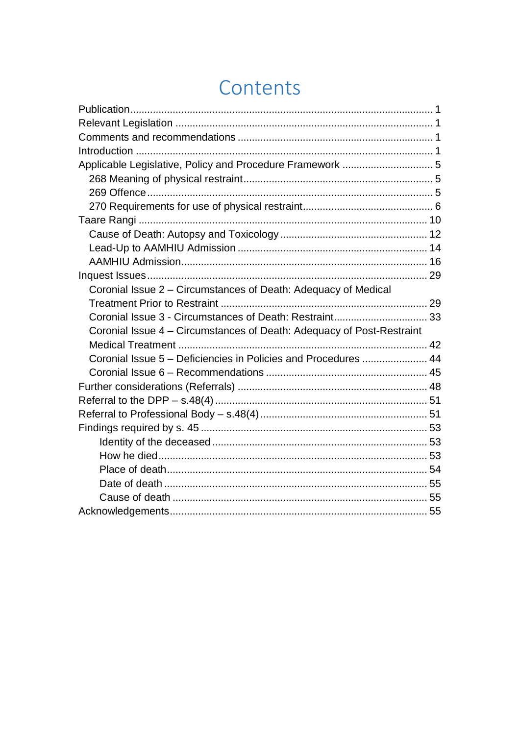# Contents

| Applicable Legislative, Policy and Procedure Framework  5             |  |
|-----------------------------------------------------------------------|--|
|                                                                       |  |
|                                                                       |  |
|                                                                       |  |
|                                                                       |  |
|                                                                       |  |
|                                                                       |  |
|                                                                       |  |
|                                                                       |  |
| Coronial Issue 2 - Circumstances of Death: Adequacy of Medical        |  |
|                                                                       |  |
|                                                                       |  |
| Coronial Issue 4 – Circumstances of Death: Adequacy of Post-Restraint |  |
|                                                                       |  |
| Coronial Issue 5 - Deficiencies in Policies and Procedures  44        |  |
|                                                                       |  |
|                                                                       |  |
|                                                                       |  |
|                                                                       |  |
|                                                                       |  |
|                                                                       |  |
|                                                                       |  |
|                                                                       |  |
|                                                                       |  |
|                                                                       |  |
|                                                                       |  |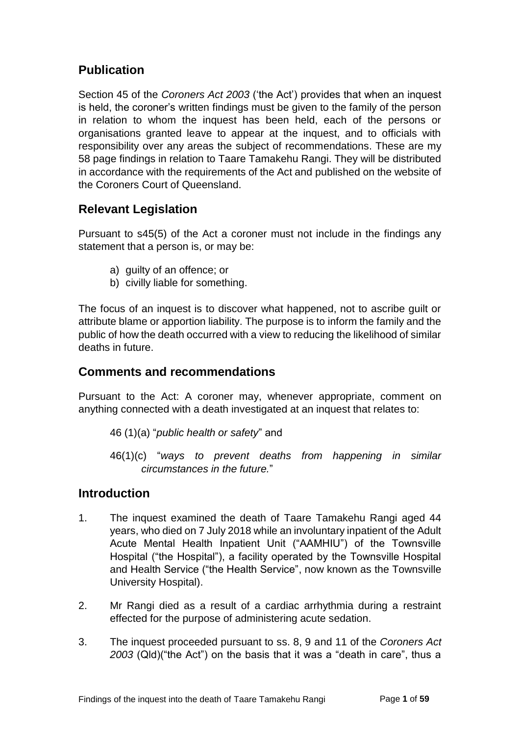## <span id="page-3-0"></span>**Publication**

Section 45 of the *Coroners Act 2003* ('the Act') provides that when an inquest is held, the coroner's written findings must be given to the family of the person in relation to whom the inquest has been held, each of the persons or organisations granted leave to appear at the inquest, and to officials with responsibility over any areas the subject of recommendations. These are my 58 page findings in relation to Taare Tamakehu Rangi. They will be distributed in accordance with the requirements of the Act and published on the website of the Coroners Court of Queensland.

## <span id="page-3-1"></span>**Relevant Legislation**

Pursuant to s45(5) of the Act a coroner must not include in the findings any statement that a person is, or may be:

- a) guilty of an offence; or
- b) civilly liable for something.

The focus of an inquest is to discover what happened, not to ascribe guilt or attribute blame or apportion liability. The purpose is to inform the family and the public of how the death occurred with a view to reducing the likelihood of similar deaths in future.

## <span id="page-3-2"></span>**Comments and recommendations**

Pursuant to the Act: A coroner may, whenever appropriate, comment on anything connected with a death investigated at an inquest that relates to:

- 46 (1)(a) "*public health or safety*" and
- 46(1)(c) "*ways to prevent deaths from happening in similar circumstances in the future.*"

## <span id="page-3-3"></span>**Introduction**

- 1. The inquest examined the death of Taare Tamakehu Rangi aged 44 years, who died on 7 July 2018 while an involuntary inpatient of the Adult Acute Mental Health Inpatient Unit ("AAMHIU") of the Townsville Hospital ("the Hospital"), a facility operated by the Townsville Hospital and Health Service ("the Health Service", now known as the Townsville University Hospital).
- 2. Mr Rangi died as a result of a cardiac arrhythmia during a restraint effected for the purpose of administering acute sedation.
- 3. The inquest proceeded pursuant to ss. 8, 9 and 11 of the *Coroners Act 2003* (Qld)("the Act") on the basis that it was a "death in care", thus a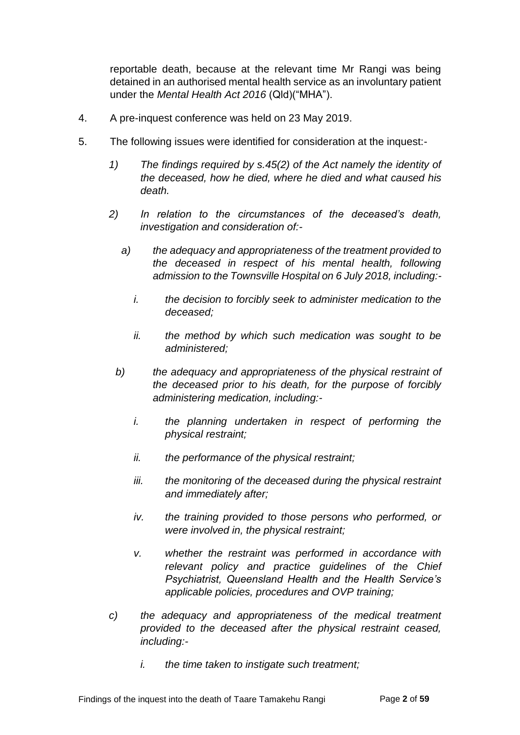reportable death, because at the relevant time Mr Rangi was being detained in an authorised mental health service as an involuntary patient under the *Mental Health Act 2016* (Qld)("MHA").

- 4. A pre-inquest conference was held on 23 May 2019.
- 5. The following issues were identified for consideration at the inquest:-
	- *1) The findings required by s.45(2) of the Act namely the identity of the deceased, how he died, where he died and what caused his death.*
	- *2) In relation to the circumstances of the deceased's death, investigation and consideration of:*
		- *a) the adequacy and appropriateness of the treatment provided to the deceased in respect of his mental health, following admission to the Townsville Hospital on 6 July 2018, including:*
			- *i. the decision to forcibly seek to administer medication to the deceased;*
			- *ii. the method by which such medication was sought to be administered;*
		- *b) the adequacy and appropriateness of the physical restraint of the deceased prior to his death, for the purpose of forcibly administering medication, including:*
			- *i. the planning undertaken in respect of performing the physical restraint;*
			- *ii. the performance of the physical restraint;*
			- *iii. the monitoring of the deceased during the physical restraint and immediately after;*
			- *iv. the training provided to those persons who performed, or were involved in, the physical restraint;*
			- *v. whether the restraint was performed in accordance with relevant policy and practice guidelines of the Chief Psychiatrist, Queensland Health and the Health Service's applicable policies, procedures and OVP training;*
	- *c) the adequacy and appropriateness of the medical treatment provided to the deceased after the physical restraint ceased, including:*
		- *i. the time taken to instigate such treatment;*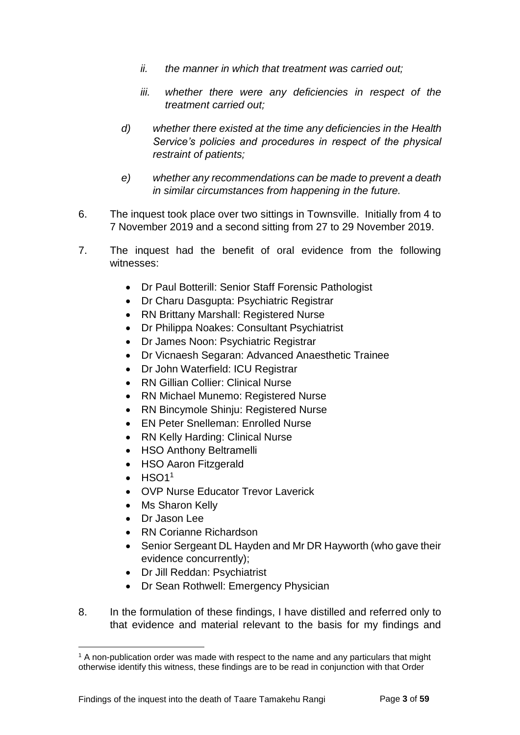- *ii. the manner in which that treatment was carried out;*
- *iii. whether there were any deficiencies in respect of the treatment carried out;*
- *d) whether there existed at the time any deficiencies in the Health Service's policies and procedures in respect of the physical restraint of patients;*
- *e) whether any recommendations can be made to prevent a death in similar circumstances from happening in the future.*
- 6. The inquest took place over two sittings in Townsville. Initially from 4 to 7 November 2019 and a second sitting from 27 to 29 November 2019.
- 7. The inquest had the benefit of oral evidence from the following witnesses:
	- Dr Paul Botterill: Senior Staff Forensic Pathologist
	- Dr Charu Dasgupta: Psychiatric Registrar
	- RN Brittany Marshall: Registered Nurse
	- Dr Philippa Noakes: Consultant Psychiatrist
	- Dr James Noon: Psychiatric Registrar
	- Dr Vicnaesh Segaran: Advanced Anaesthetic Trainee
	- Dr John Waterfield: ICU Registrar
	- RN Gillian Collier: Clinical Nurse
	- RN Michael Munemo: Registered Nurse
	- RN Bincymole Shinju: Registered Nurse
	- EN Peter Snelleman: Enrolled Nurse
	- RN Kelly Harding: Clinical Nurse
	- HSO Anthony Beltramelli
	- HSO Aaron Fitzgerald
	- $\bullet$  HSO1<sup>1</sup>

- OVP Nurse Educator Trevor Laverick
- Ms Sharon Kelly
- Dr Jason Lee
- RN Corianne Richardson
- Senior Sergeant DL Hayden and Mr DR Hayworth (who gave their evidence concurrently);
- Dr Jill Reddan: Psychiatrist
- Dr Sean Rothwell: Emergency Physician
- 8. In the formulation of these findings, I have distilled and referred only to that evidence and material relevant to the basis for my findings and

<sup>&</sup>lt;sup>1</sup> A non-publication order was made with respect to the name and any particulars that might otherwise identify this witness, these findings are to be read in conjunction with that Order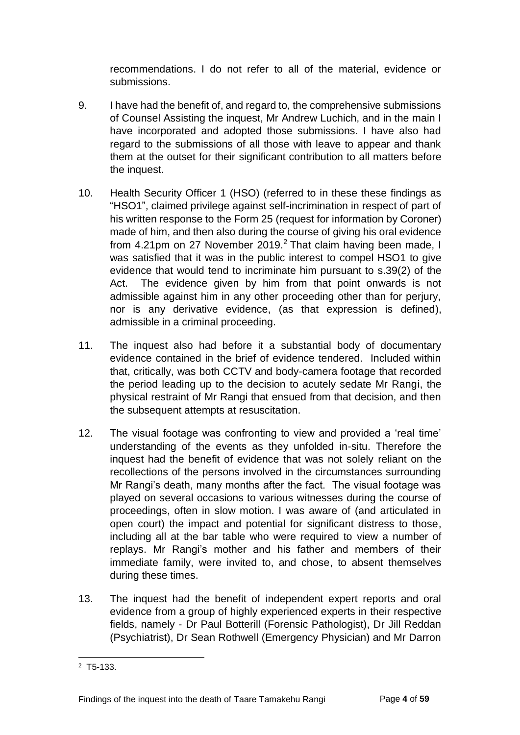recommendations. I do not refer to all of the material, evidence or submissions.

- 9. I have had the benefit of, and regard to, the comprehensive submissions of Counsel Assisting the inquest, Mr Andrew Luchich, and in the main I have incorporated and adopted those submissions. I have also had regard to the submissions of all those with leave to appear and thank them at the outset for their significant contribution to all matters before the inquest.
- 10. Health Security Officer 1 (HSO) (referred to in these these findings as "HSO1", claimed privilege against self-incrimination in respect of part of his written response to the Form 25 (request for information by Coroner) made of him, and then also during the course of giving his oral evidence from 4.21pm on 27 November 2019.<sup>2</sup> That claim having been made, I was satisfied that it was in the public interest to compel HSO1 to give evidence that would tend to incriminate him pursuant to s.39(2) of the Act. The evidence given by him from that point onwards is not admissible against him in any other proceeding other than for perjury, nor is any derivative evidence, (as that expression is defined), admissible in a criminal proceeding.
- 11. The inquest also had before it a substantial body of documentary evidence contained in the brief of evidence tendered. Included within that, critically, was both CCTV and body-camera footage that recorded the period leading up to the decision to acutely sedate Mr Rangi, the physical restraint of Mr Rangi that ensued from that decision, and then the subsequent attempts at resuscitation.
- 12. The visual footage was confronting to view and provided a 'real time' understanding of the events as they unfolded in-situ. Therefore the inquest had the benefit of evidence that was not solely reliant on the recollections of the persons involved in the circumstances surrounding Mr Rangi's death, many months after the fact. The visual footage was played on several occasions to various witnesses during the course of proceedings, often in slow motion. I was aware of (and articulated in open court) the impact and potential for significant distress to those, including all at the bar table who were required to view a number of replays. Mr Rangi's mother and his father and members of their immediate family, were invited to, and chose, to absent themselves during these times.
- 13. The inquest had the benefit of independent expert reports and oral evidence from a group of highly experienced experts in their respective fields, namely - Dr Paul Botterill (Forensic Pathologist), Dr Jill Reddan (Psychiatrist), Dr Sean Rothwell (Emergency Physician) and Mr Darron

 $2$  T5-133.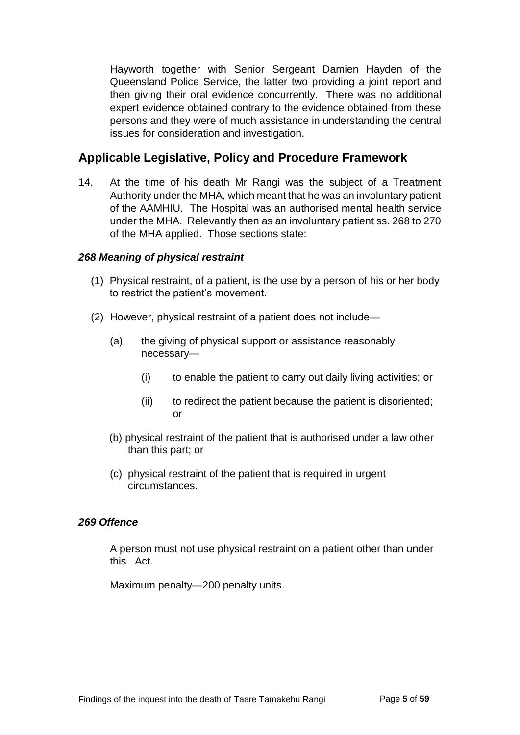Hayworth together with Senior Sergeant Damien Hayden of the Queensland Police Service, the latter two providing a joint report and then giving their oral evidence concurrently. There was no additional expert evidence obtained contrary to the evidence obtained from these persons and they were of much assistance in understanding the central issues for consideration and investigation.

## <span id="page-7-0"></span>**Applicable Legislative, Policy and Procedure Framework**

14. At the time of his death Mr Rangi was the subject of a Treatment Authority under the MHA, which meant that he was an involuntary patient of the AAMHIU. The Hospital was an authorised mental health service under the MHA. Relevantly then as an involuntary patient ss. 268 to 270 of the MHA applied. Those sections state:

#### <span id="page-7-1"></span>*268 Meaning of physical restraint*

- (1) Physical restraint, of a patient, is the use by a person of his or her body to restrict the patient's movement.
- (2) However, physical restraint of a patient does not include—
	- (a) the giving of physical support or assistance reasonably necessary—
		- (i) to enable the patient to carry out daily living activities; or
		- (ii) to redirect the patient because the patient is disoriented; or
	- (b) physical restraint of the patient that is authorised under a law other than this part; or
	- (c) physical restraint of the patient that is required in urgent circumstances.

#### <span id="page-7-2"></span>*269 Offence*

A person must not use physical restraint on a patient other than under this Act.

Maximum penalty—200 penalty units.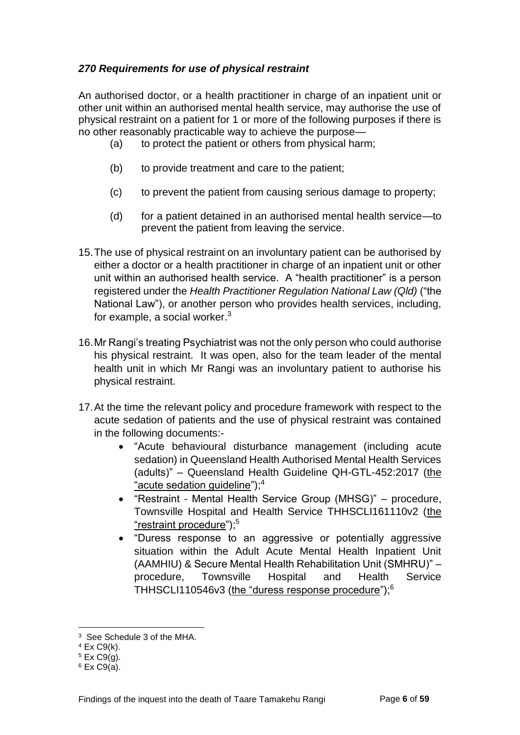#### <span id="page-8-0"></span>*270 Requirements for use of physical restraint*

An authorised doctor, or a health practitioner in charge of an inpatient unit or other unit within an authorised mental health service, may authorise the use of physical restraint on a patient for 1 or more of the following purposes if there is no other reasonably practicable way to achieve the purpose—

- (a) to protect the patient or others from physical harm;
- (b) to provide treatment and care to the patient;
- (c) to prevent the patient from causing serious damage to property;
- (d) for a patient detained in an authorised mental health service—to prevent the patient from leaving the service.
- 15.The use of physical restraint on an involuntary patient can be authorised by either a doctor or a health practitioner in charge of an inpatient unit or other unit within an authorised health service. A "health practitioner" is a person registered under the *Health Practitioner Regulation National Law (Qld)* ("the National Law"), or another person who provides health services, including, for example, a social worker.<sup>3</sup>
- 16.Mr Rangi's treating Psychiatrist was not the only person who could authorise his physical restraint. It was open, also for the team leader of the mental health unit in which Mr Rangi was an involuntary patient to authorise his physical restraint.
- 17.At the time the relevant policy and procedure framework with respect to the acute sedation of patients and the use of physical restraint was contained in the following documents:-
	- "Acute behavioural disturbance management (including acute sedation) in Queensland Health Authorised Mental Health Services (adults)" – Queensland Health Guideline QH-GTL-452:2017 (the "acute sedation guideline");<sup>4</sup>
	- "Restraint Mental Health Service Group (MHSG)" procedure, Townsville Hospital and Health Service THHSCLI161110v2 (the "restraint procedure"):<sup>5</sup>
	- "Duress response to an aggressive or potentially aggressive situation within the Adult Acute Mental Health Inpatient Unit (AAMHIU) & Secure Mental Health Rehabilitation Unit (SMHRU)" – procedure, Townsville Hospital and Health Service THHSCLI110546v3 (the "duress response procedure");<sup>6</sup>

<sup>3</sup> See Schedule 3 of the MHA.

 $4$  Ex C9 $(k)$ .

<sup>5</sup> Ex C9(g).

 $6$  Ex C9(a).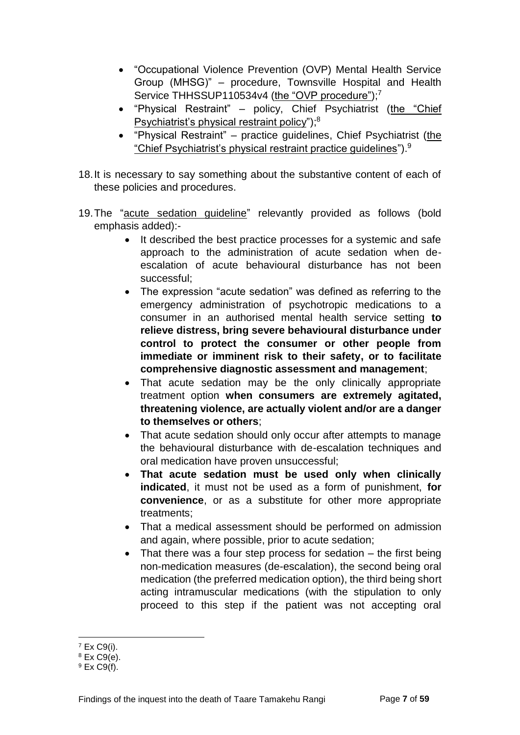- "Occupational Violence Prevention (OVP) Mental Health Service Group (MHSG)" – procedure, Townsville Hospital and Health Service THHSSUP110534v4 (the "OVP procedure");<sup>7</sup>
- "Physical Restraint" policy, Chief Psychiatrist (the "Chief Psychiatrist's physical restraint policy");<sup>8</sup>
- "Physical Restraint" practice guidelines, Chief Psychiatrist (the "Chief Psychiatrist's physical restraint practice guidelines").<sup>9</sup>
- 18.It is necessary to say something about the substantive content of each of these policies and procedures.
- 19.The "acute sedation guideline" relevantly provided as follows (bold emphasis added):-
	- It described the best practice processes for a systemic and safe approach to the administration of acute sedation when deescalation of acute behavioural disturbance has not been successful;
	- The expression "acute sedation" was defined as referring to the emergency administration of psychotropic medications to a consumer in an authorised mental health service setting **to relieve distress, bring severe behavioural disturbance under control to protect the consumer or other people from immediate or imminent risk to their safety, or to facilitate comprehensive diagnostic assessment and management**;
	- That acute sedation may be the only clinically appropriate treatment option **when consumers are extremely agitated, threatening violence, are actually violent and/or are a danger to themselves or others**;
	- That acute sedation should only occur after attempts to manage the behavioural disturbance with de-escalation techniques and oral medication have proven unsuccessful;
	- **That acute sedation must be used only when clinically indicated**, it must not be used as a form of punishment, **for convenience**, or as a substitute for other more appropriate treatments;
	- That a medical assessment should be performed on admission and again, where possible, prior to acute sedation;
	- That there was a four step process for sedation the first being non-medication measures (de-escalation), the second being oral medication (the preferred medication option), the third being short acting intramuscular medications (with the stipulation to only proceed to this step if the patient was not accepting oral

l <sup>7</sup> Ex C9(i).

 $8$  Ex C9(e).

 $9$  Ex C9(f).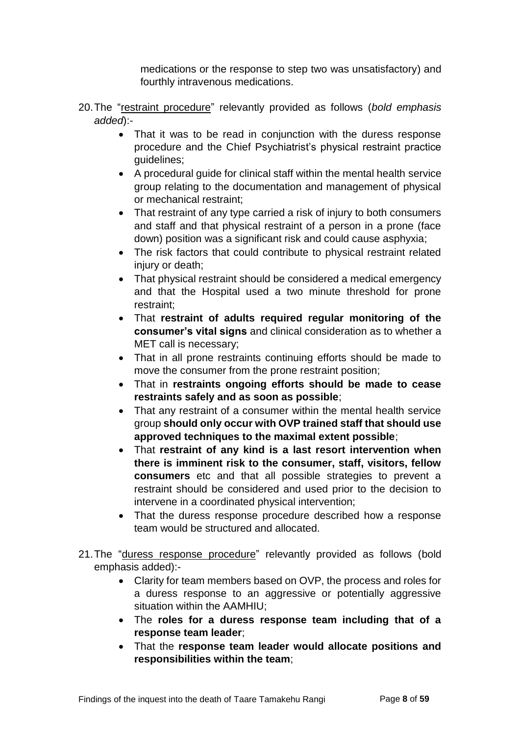medications or the response to step two was unsatisfactory) and fourthly intravenous medications.

- 20.The "restraint procedure" relevantly provided as follows (*bold emphasis added*):-
	- That it was to be read in conjunction with the duress response procedure and the Chief Psychiatrist's physical restraint practice guidelines;
	- A procedural guide for clinical staff within the mental health service group relating to the documentation and management of physical or mechanical restraint;
	- That restraint of any type carried a risk of injury to both consumers and staff and that physical restraint of a person in a prone (face down) position was a significant risk and could cause asphyxia;
	- The risk factors that could contribute to physical restraint related injury or death;
	- That physical restraint should be considered a medical emergency and that the Hospital used a two minute threshold for prone restraint;
	- That **restraint of adults required regular monitoring of the consumer's vital signs** and clinical consideration as to whether a MET call is necessary;
	- That in all prone restraints continuing efforts should be made to move the consumer from the prone restraint position;
	- That in **restraints ongoing efforts should be made to cease restraints safely and as soon as possible**;
	- That any restraint of a consumer within the mental health service group **should only occur with OVP trained staff that should use approved techniques to the maximal extent possible**;
	- That **restraint of any kind is a last resort intervention when there is imminent risk to the consumer, staff, visitors, fellow consumers** etc and that all possible strategies to prevent a restraint should be considered and used prior to the decision to intervene in a coordinated physical intervention;
	- That the duress response procedure described how a response team would be structured and allocated.
- 21.The "duress response procedure" relevantly provided as follows (bold emphasis added):-
	- Clarity for team members based on OVP, the process and roles for a duress response to an aggressive or potentially aggressive situation within the AAMHIU;
	- The **roles for a duress response team including that of a response team leader**;
	- That the **response team leader would allocate positions and responsibilities within the team**;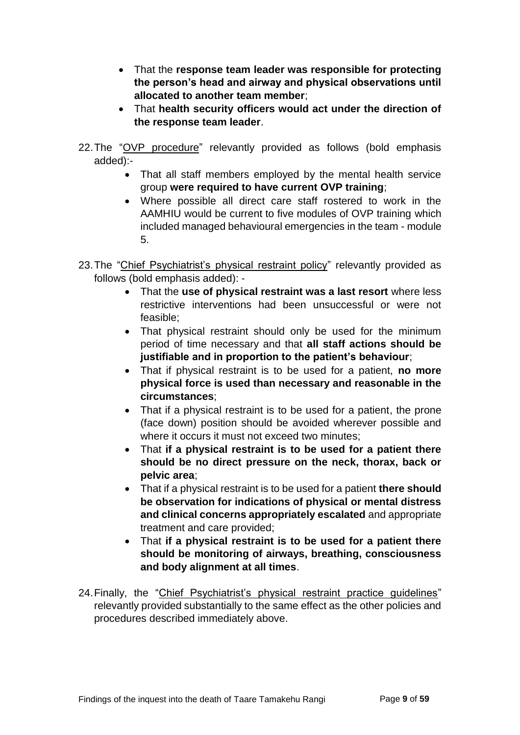- That the **response team leader was responsible for protecting the person's head and airway and physical observations until allocated to another team member**;
- That **health security officers would act under the direction of the response team leader**.
- 22.The "OVP procedure" relevantly provided as follows (bold emphasis added):-
	- That all staff members employed by the mental health service group **were required to have current OVP training**;
	- Where possible all direct care staff rostered to work in the AAMHIU would be current to five modules of OVP training which included managed behavioural emergencies in the team - module 5.
- 23.The "Chief Psychiatrist's physical restraint policy" relevantly provided as follows (bold emphasis added): -
	- That the **use of physical restraint was a last resort** where less restrictive interventions had been unsuccessful or were not feasible;
	- That physical restraint should only be used for the minimum period of time necessary and that **all staff actions should be justifiable and in proportion to the patient's behaviour**;
	- That if physical restraint is to be used for a patient, **no more physical force is used than necessary and reasonable in the circumstances**;
	- That if a physical restraint is to be used for a patient, the prone (face down) position should be avoided wherever possible and where it occurs it must not exceed two minutes;
	- That **if a physical restraint is to be used for a patient there should be no direct pressure on the neck, thorax, back or pelvic area**;
	- That if a physical restraint is to be used for a patient **there should be observation for indications of physical or mental distress and clinical concerns appropriately escalated** and appropriate treatment and care provided;
	- That **if a physical restraint is to be used for a patient there should be monitoring of airways, breathing, consciousness and body alignment at all times**.
- 24.Finally, the "Chief Psychiatrist's physical restraint practice guidelines" relevantly provided substantially to the same effect as the other policies and procedures described immediately above.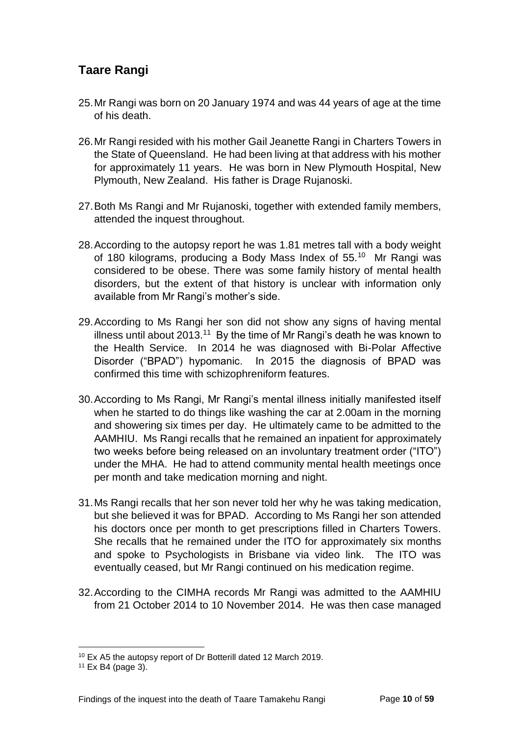## <span id="page-12-0"></span>**Taare Rangi**

- 25.Mr Rangi was born on 20 January 1974 and was 44 years of age at the time of his death.
- 26.Mr Rangi resided with his mother Gail Jeanette Rangi in Charters Towers in the State of Queensland. He had been living at that address with his mother for approximately 11 years. He was born in New Plymouth Hospital, New Plymouth, New Zealand. His father is Drage Rujanoski.
- 27.Both Ms Rangi and Mr Rujanoski, together with extended family members, attended the inquest throughout.
- 28.According to the autopsy report he was 1.81 metres tall with a body weight of 180 kilograms, producing a Body Mass Index of 55.<sup>10</sup> Mr Rangi was considered to be obese. There was some family history of mental health disorders, but the extent of that history is unclear with information only available from Mr Rangi's mother's side.
- 29.According to Ms Rangi her son did not show any signs of having mental illness until about 2013.<sup>11</sup> By the time of Mr Rangi's death he was known to the Health Service. In 2014 he was diagnosed with Bi-Polar Affective Disorder ("BPAD") hypomanic. In 2015 the diagnosis of BPAD was confirmed this time with schizophreniform features.
- 30.According to Ms Rangi, Mr Rangi's mental illness initially manifested itself when he started to do things like washing the car at 2.00am in the morning and showering six times per day. He ultimately came to be admitted to the AAMHIU. Ms Rangi recalls that he remained an inpatient for approximately two weeks before being released on an involuntary treatment order ("ITO") under the MHA. He had to attend community mental health meetings once per month and take medication morning and night.
- 31.Ms Rangi recalls that her son never told her why he was taking medication, but she believed it was for BPAD. According to Ms Rangi her son attended his doctors once per month to get prescriptions filled in Charters Towers. She recalls that he remained under the ITO for approximately six months and spoke to Psychologists in Brisbane via video link. The ITO was eventually ceased, but Mr Rangi continued on his medication regime.
- 32.According to the CIMHA records Mr Rangi was admitted to the AAMHIU from 21 October 2014 to 10 November 2014. He was then case managed

<sup>10</sup> Ex A5 the autopsy report of Dr Botterill dated 12 March 2019.

 $11$  Ex B4 (page 3).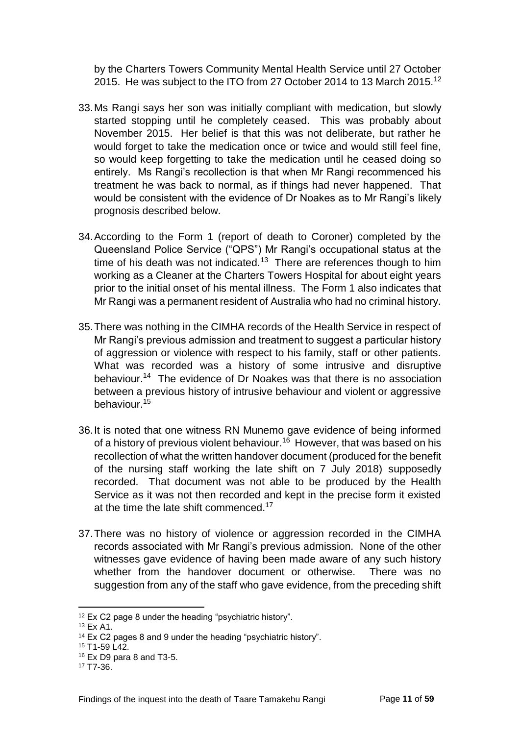by the Charters Towers Community Mental Health Service until 27 October 2015. He was subject to the ITO from 27 October 2014 to 13 March 2015.<sup>12</sup>

- 33.Ms Rangi says her son was initially compliant with medication, but slowly started stopping until he completely ceased. This was probably about November 2015. Her belief is that this was not deliberate, but rather he would forget to take the medication once or twice and would still feel fine, so would keep forgetting to take the medication until he ceased doing so entirely. Ms Rangi's recollection is that when Mr Rangi recommenced his treatment he was back to normal, as if things had never happened. That would be consistent with the evidence of Dr Noakes as to Mr Rangi's likely prognosis described below.
- 34.According to the Form 1 (report of death to Coroner) completed by the Queensland Police Service ("QPS") Mr Rangi's occupational status at the time of his death was not indicated.<sup>13</sup> There are references though to him working as a Cleaner at the Charters Towers Hospital for about eight years prior to the initial onset of his mental illness. The Form 1 also indicates that Mr Rangi was a permanent resident of Australia who had no criminal history.
- 35.There was nothing in the CIMHA records of the Health Service in respect of Mr Rangi's previous admission and treatment to suggest a particular history of aggression or violence with respect to his family, staff or other patients. What was recorded was a history of some intrusive and disruptive behaviour.<sup>14</sup> The evidence of Dr Noakes was that there is no association between a previous history of intrusive behaviour and violent or aggressive behaviour.<sup>15</sup>
- 36.It is noted that one witness RN Munemo gave evidence of being informed of a history of previous violent behaviour.<sup>16</sup> However, that was based on his recollection of what the written handover document (produced for the benefit of the nursing staff working the late shift on 7 July 2018) supposedly recorded. That document was not able to be produced by the Health Service as it was not then recorded and kept in the precise form it existed at the time the late shift commenced.<sup>17</sup>
- 37.There was no history of violence or aggression recorded in the CIMHA records associated with Mr Rangi's previous admission. None of the other witnesses gave evidence of having been made aware of any such history whether from the handover document or otherwise. There was no suggestion from any of the staff who gave evidence, from the preceding shift

l <sup>12</sup> Ex C2 page 8 under the heading "psychiatric history".

<sup>13</sup> Ex A1.

<sup>14</sup> Ex C2 pages 8 and 9 under the heading "psychiatric history".

<sup>15</sup> T1-59 L42.

<sup>16</sup> Ex D9 para 8 and T3-5.

<sup>17</sup> T7-36.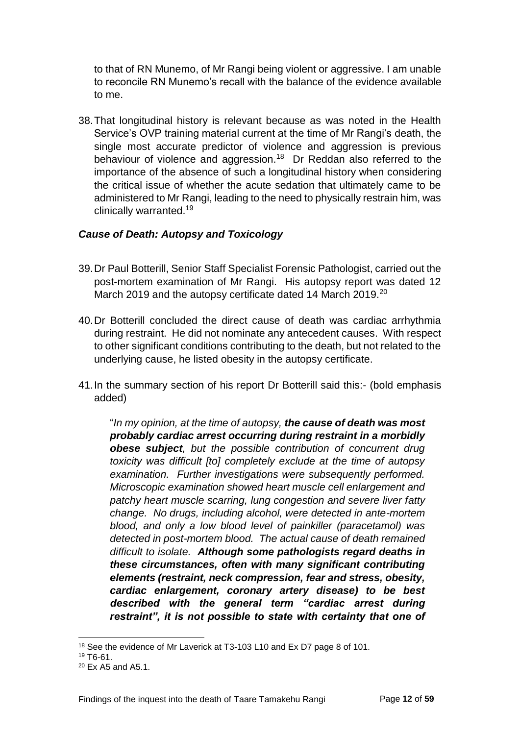to that of RN Munemo, of Mr Rangi being violent or aggressive. I am unable to reconcile RN Munemo's recall with the balance of the evidence available to me.

38.That longitudinal history is relevant because as was noted in the Health Service's OVP training material current at the time of Mr Rangi's death, the single most accurate predictor of violence and aggression is previous behaviour of violence and aggression.<sup>18</sup> Dr Reddan also referred to the importance of the absence of such a longitudinal history when considering the critical issue of whether the acute sedation that ultimately came to be administered to Mr Rangi, leading to the need to physically restrain him, was clinically warranted.<sup>19</sup>

#### <span id="page-14-0"></span>*Cause of Death: Autopsy and Toxicology*

- 39.Dr Paul Botterill, Senior Staff Specialist Forensic Pathologist, carried out the post-mortem examination of Mr Rangi. His autopsy report was dated 12 March 2019 and the autopsy certificate dated 14 March 2019.<sup>20</sup>
- 40.Dr Botterill concluded the direct cause of death was cardiac arrhythmia during restraint. He did not nominate any antecedent causes. With respect to other significant conditions contributing to the death, but not related to the underlying cause, he listed obesity in the autopsy certificate.
- 41.In the summary section of his report Dr Botterill said this:- (bold emphasis added)

"*In my opinion, at the time of autopsy, the cause of death was most probably cardiac arrest occurring during restraint in a morbidly obese subject, but the possible contribution of concurrent drug toxicity was difficult [to] completely exclude at the time of autopsy examination. Further investigations were subsequently performed. Microscopic examination showed heart muscle cell enlargement and patchy heart muscle scarring, lung congestion and severe liver fatty change. No drugs, including alcohol, were detected in ante-mortem blood, and only a low blood level of painkiller (paracetamol) was detected in post-mortem blood. The actual cause of death remained difficult to isolate. Although some pathologists regard deaths in these circumstances, often with many significant contributing elements (restraint, neck compression, fear and stress, obesity, cardiac enlargement, coronary artery disease) to be best described with the general term "cardiac arrest during restraint", it is not possible to state with certainty that one of* 

l <sup>18</sup> See the evidence of Mr Laverick at T3-103 L10 and Ex D7 page 8 of 101.

<sup>19</sup> T6-61.

<sup>20</sup> Ex A5 and A5.1.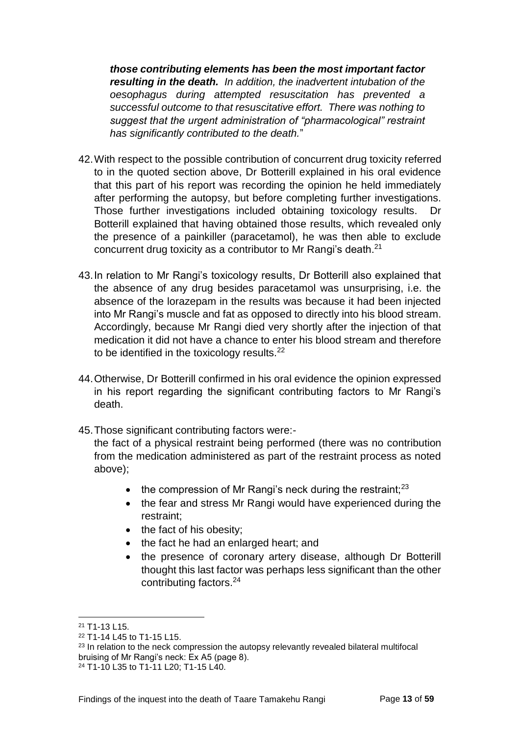*those contributing elements has been the most important factor resulting in the death. In addition, the inadvertent intubation of the oesophagus during attempted resuscitation has prevented a successful outcome to that resuscitative effort. There was nothing to suggest that the urgent administration of "pharmacological" restraint has significantly contributed to the death.*"

- 42.With respect to the possible contribution of concurrent drug toxicity referred to in the quoted section above, Dr Botterill explained in his oral evidence that this part of his report was recording the opinion he held immediately after performing the autopsy, but before completing further investigations. Those further investigations included obtaining toxicology results. Dr Botterill explained that having obtained those results, which revealed only the presence of a painkiller (paracetamol), he was then able to exclude concurrent drug toxicity as a contributor to Mr Rangi's death.<sup>21</sup>
- 43.In relation to Mr Rangi's toxicology results, Dr Botterill also explained that the absence of any drug besides paracetamol was unsurprising, i.e. the absence of the lorazepam in the results was because it had been injected into Mr Rangi's muscle and fat as opposed to directly into his blood stream. Accordingly, because Mr Rangi died very shortly after the injection of that medication it did not have a chance to enter his blood stream and therefore to be identified in the toxicology results.<sup>22</sup>
- 44.Otherwise, Dr Botterill confirmed in his oral evidence the opinion expressed in his report regarding the significant contributing factors to Mr Rangi's death.
- 45.Those significant contributing factors were:-

the fact of a physical restraint being performed (there was no contribution from the medication administered as part of the restraint process as noted above);

- $\bullet$  the compression of Mr Rangi's neck during the restraint;<sup>23</sup>
- the fear and stress Mr Rangi would have experienced during the restraint;
- $\bullet$  the fact of his obesity;
- the fact he had an enlarged heart; and
- the presence of coronary artery disease, although Dr Botterill thought this last factor was perhaps less significant than the other contributing factors.<sup>24</sup>

l <sup>21</sup> T1-13 L15.

<sup>22</sup> T1-14 L45 to T1-15 L15.

<sup>&</sup>lt;sup>23</sup> In relation to the neck compression the autopsy relevantly revealed bilateral multifocal bruising of Mr Rangi's neck: Ex A5 (page 8).

<sup>24</sup> T1-10 L35 to T1-11 L20; T1-15 L40.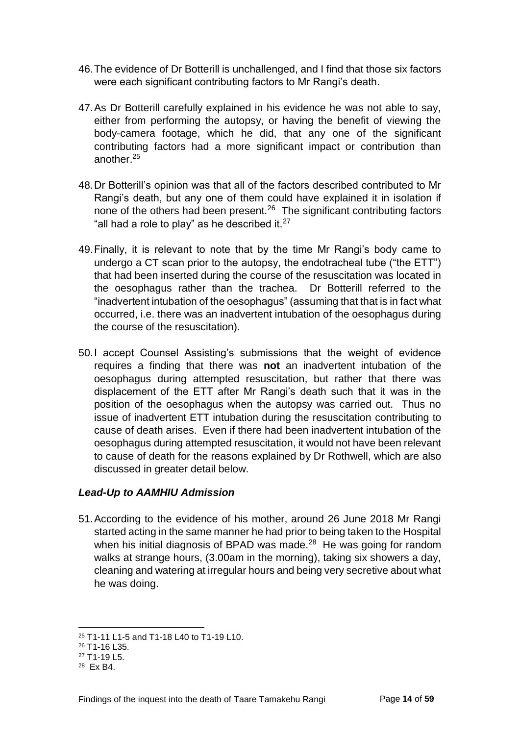- 46.The evidence of Dr Botterill is unchallenged, and I find that those six factors were each significant contributing factors to Mr Rangi's death.
- 47.As Dr Botterill carefully explained in his evidence he was not able to say, either from performing the autopsy, or having the benefit of viewing the body-camera footage, which he did, that any one of the significant contributing factors had a more significant impact or contribution than another.<sup>25</sup>
- 48.Dr Botterill's opinion was that all of the factors described contributed to Mr Rangi's death, but any one of them could have explained it in isolation if none of the others had been present.<sup>26</sup> The significant contributing factors "all had a role to play" as he described it. $27$
- 49.Finally, it is relevant to note that by the time Mr Rangi's body came to undergo a CT scan prior to the autopsy, the endotracheal tube ("the ETT") that had been inserted during the course of the resuscitation was located in the oesophagus rather than the trachea. Dr Botterill referred to the "inadvertent intubation of the oesophagus" (assuming that that is in fact what occurred, i.e. there was an inadvertent intubation of the oesophagus during the course of the resuscitation).
- 50.I accept Counsel Assisting's submissions that the weight of evidence requires a finding that there was **not** an inadvertent intubation of the oesophagus during attempted resuscitation, but rather that there was displacement of the ETT after Mr Rangi's death such that it was in the position of the oesophagus when the autopsy was carried out. Thus no issue of inadvertent ETT intubation during the resuscitation contributing to cause of death arises. Even if there had been inadvertent intubation of the oesophagus during attempted resuscitation, it would not have been relevant to cause of death for the reasons explained by Dr Rothwell, which are also discussed in greater detail below.

#### <span id="page-16-0"></span>*Lead-Up to AAMHIU Admission*

51.According to the evidence of his mother, around 26 June 2018 Mr Rangi started acting in the same manner he had prior to being taken to the Hospital when his initial diagnosis of BPAD was made. $^{28}$  He was going for random walks at strange hours, (3.00am in the morning), taking six showers a day, cleaning and watering at irregular hours and being very secretive about what he was doing.

l <sup>25</sup> T1-11 L1-5 and T1-18 L40 to T1-19 L10.

<sup>26</sup> T1-16 L35.

<sup>27</sup> T1-19 L5.

<sup>28</sup> Ex B4.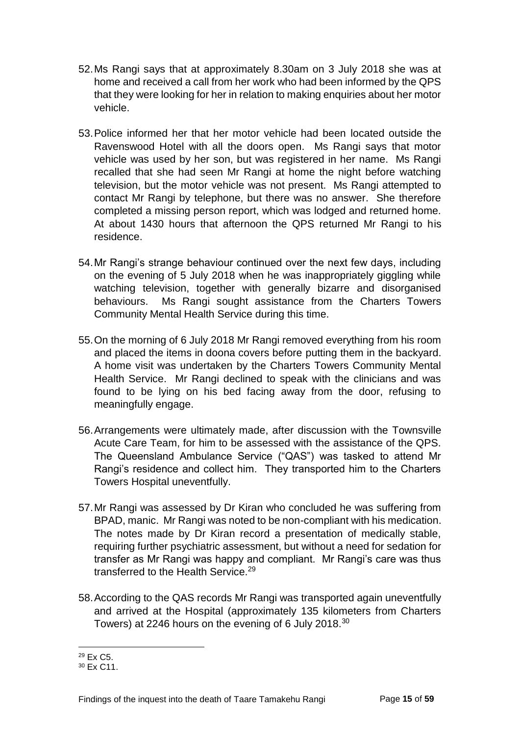- 52.Ms Rangi says that at approximately 8.30am on 3 July 2018 she was at home and received a call from her work who had been informed by the QPS that they were looking for her in relation to making enquiries about her motor vehicle.
- 53.Police informed her that her motor vehicle had been located outside the Ravenswood Hotel with all the doors open. Ms Rangi says that motor vehicle was used by her son, but was registered in her name. Ms Rangi recalled that she had seen Mr Rangi at home the night before watching television, but the motor vehicle was not present. Ms Rangi attempted to contact Mr Rangi by telephone, but there was no answer. She therefore completed a missing person report, which was lodged and returned home. At about 1430 hours that afternoon the QPS returned Mr Rangi to his residence.
- 54.Mr Rangi's strange behaviour continued over the next few days, including on the evening of 5 July 2018 when he was inappropriately giggling while watching television, together with generally bizarre and disorganised behaviours. Ms Rangi sought assistance from the Charters Towers Community Mental Health Service during this time.
- 55.On the morning of 6 July 2018 Mr Rangi removed everything from his room and placed the items in doona covers before putting them in the backyard. A home visit was undertaken by the Charters Towers Community Mental Health Service. Mr Rangi declined to speak with the clinicians and was found to be lying on his bed facing away from the door, refusing to meaningfully engage.
- 56.Arrangements were ultimately made, after discussion with the Townsville Acute Care Team, for him to be assessed with the assistance of the QPS. The Queensland Ambulance Service ("QAS") was tasked to attend Mr Rangi's residence and collect him. They transported him to the Charters Towers Hospital uneventfully.
- 57.Mr Rangi was assessed by Dr Kiran who concluded he was suffering from BPAD, manic. Mr Rangi was noted to be non-compliant with his medication. The notes made by Dr Kiran record a presentation of medically stable, requiring further psychiatric assessment, but without a need for sedation for transfer as Mr Rangi was happy and compliant. Mr Rangi's care was thus transferred to the Health Service.<sup>29</sup>
- 58.According to the QAS records Mr Rangi was transported again uneventfully and arrived at the Hospital (approximately 135 kilometers from Charters Towers) at 2246 hours on the evening of 6 July 2018.<sup>30</sup>

l <sup>29</sup> Ex C5.

<sup>30</sup> Ex C11.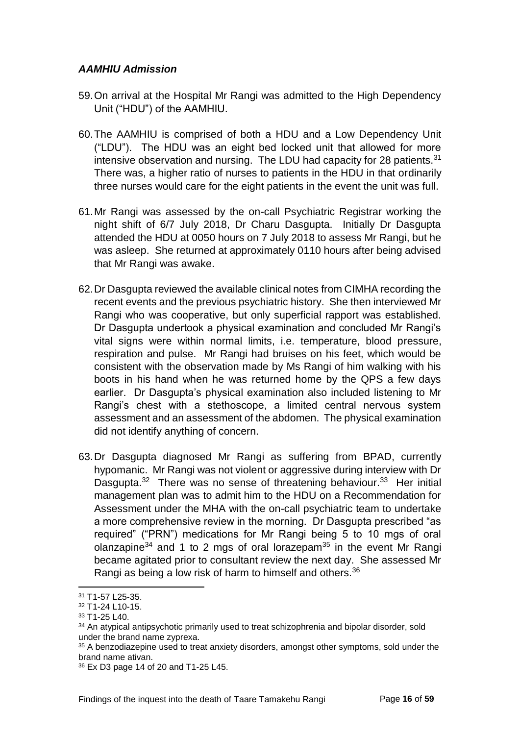#### <span id="page-18-0"></span>*AAMHIU Admission*

- 59.On arrival at the Hospital Mr Rangi was admitted to the High Dependency Unit ("HDU") of the AAMHIU.
- 60.The AAMHIU is comprised of both a HDU and a Low Dependency Unit ("LDU"). The HDU was an eight bed locked unit that allowed for more intensive observation and nursing. The LDU had capacity for 28 patients. $31$ There was, a higher ratio of nurses to patients in the HDU in that ordinarily three nurses would care for the eight patients in the event the unit was full.
- 61.Mr Rangi was assessed by the on-call Psychiatric Registrar working the night shift of 6/7 July 2018, Dr Charu Dasgupta. Initially Dr Dasgupta attended the HDU at 0050 hours on 7 July 2018 to assess Mr Rangi, but he was asleep. She returned at approximately 0110 hours after being advised that Mr Rangi was awake.
- 62.Dr Dasgupta reviewed the available clinical notes from CIMHA recording the recent events and the previous psychiatric history. She then interviewed Mr Rangi who was cooperative, but only superficial rapport was established. Dr Dasgupta undertook a physical examination and concluded Mr Rangi's vital signs were within normal limits, i.e. temperature, blood pressure, respiration and pulse. Mr Rangi had bruises on his feet, which would be consistent with the observation made by Ms Rangi of him walking with his boots in his hand when he was returned home by the QPS a few days earlier. Dr Dasgupta's physical examination also included listening to Mr Rangi's chest with a stethoscope, a limited central nervous system assessment and an assessment of the abdomen. The physical examination did not identify anything of concern.
- 63.Dr Dasgupta diagnosed Mr Rangi as suffering from BPAD, currently hypomanic. Mr Rangi was not violent or aggressive during interview with Dr Dasgupta.<sup>32</sup> There was no sense of threatening behaviour.<sup>33</sup> Her initial management plan was to admit him to the HDU on a Recommendation for Assessment under the MHA with the on-call psychiatric team to undertake a more comprehensive review in the morning. Dr Dasgupta prescribed "as required" ("PRN") medications for Mr Rangi being 5 to 10 mgs of oral olanzapine<sup>34</sup> and 1 to 2 mgs of oral lorazepam<sup>35</sup> in the event Mr Rangi became agitated prior to consultant review the next day. She assessed Mr Rangi as being a low risk of harm to himself and others.<sup>36</sup>

<sup>31</sup> T1-57 L25-35.

<sup>32</sup> T1-24 L10-15.

<sup>33</sup> T1-25 L40.

<sup>&</sup>lt;sup>34</sup> An atypical antipsychotic primarily used to treat schizophrenia and bipolar disorder, sold under the brand name zyprexa.

<sup>&</sup>lt;sup>35</sup> A benzodiazepine used to treat anxiety disorders, amongst other symptoms, sold under the brand name ativan.

<sup>36</sup> Ex D3 page 14 of 20 and T1-25 L45.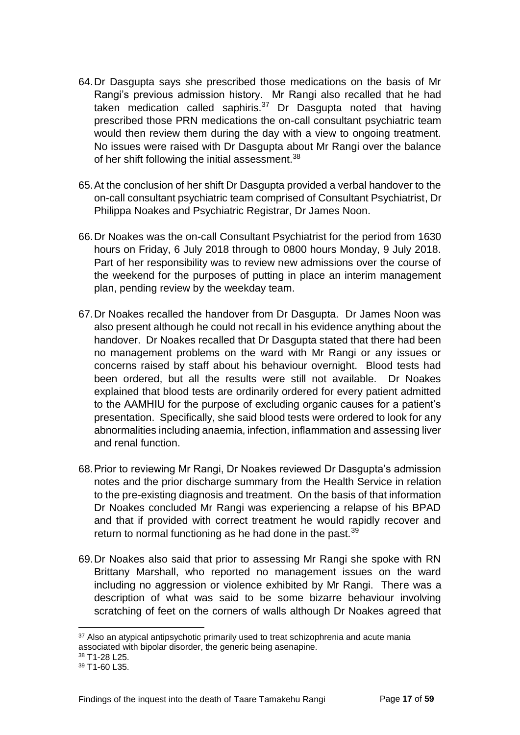- 64.Dr Dasgupta says she prescribed those medications on the basis of Mr Rangi's previous admission history. Mr Rangi also recalled that he had taken medication called saphiris. $37$  Dr Dasgupta noted that having prescribed those PRN medications the on-call consultant psychiatric team would then review them during the day with a view to ongoing treatment. No issues were raised with Dr Dasgupta about Mr Rangi over the balance of her shift following the initial assessment.<sup>38</sup>
- 65.At the conclusion of her shift Dr Dasgupta provided a verbal handover to the on-call consultant psychiatric team comprised of Consultant Psychiatrist, Dr Philippa Noakes and Psychiatric Registrar, Dr James Noon.
- 66.Dr Noakes was the on-call Consultant Psychiatrist for the period from 1630 hours on Friday, 6 July 2018 through to 0800 hours Monday, 9 July 2018. Part of her responsibility was to review new admissions over the course of the weekend for the purposes of putting in place an interim management plan, pending review by the weekday team.
- 67.Dr Noakes recalled the handover from Dr Dasgupta. Dr James Noon was also present although he could not recall in his evidence anything about the handover. Dr Noakes recalled that Dr Dasgupta stated that there had been no management problems on the ward with Mr Rangi or any issues or concerns raised by staff about his behaviour overnight. Blood tests had been ordered, but all the results were still not available. Dr Noakes explained that blood tests are ordinarily ordered for every patient admitted to the AAMHIU for the purpose of excluding organic causes for a patient's presentation. Specifically, she said blood tests were ordered to look for any abnormalities including anaemia, infection, inflammation and assessing liver and renal function.
- 68.Prior to reviewing Mr Rangi, Dr Noakes reviewed Dr Dasgupta's admission notes and the prior discharge summary from the Health Service in relation to the pre-existing diagnosis and treatment. On the basis of that information Dr Noakes concluded Mr Rangi was experiencing a relapse of his BPAD and that if provided with correct treatment he would rapidly recover and return to normal functioning as he had done in the past.<sup>39</sup>
- 69.Dr Noakes also said that prior to assessing Mr Rangi she spoke with RN Brittany Marshall, who reported no management issues on the ward including no aggression or violence exhibited by Mr Rangi. There was a description of what was said to be some bizarre behaviour involving scratching of feet on the corners of walls although Dr Noakes agreed that

<sup>&</sup>lt;sup>37</sup> Also an atypical antipsychotic primarily used to treat schizophrenia and acute mania associated with bipolar disorder, the generic being asenapine.

<sup>38</sup> T1-28 L25.

<sup>39</sup> T1-60 L35.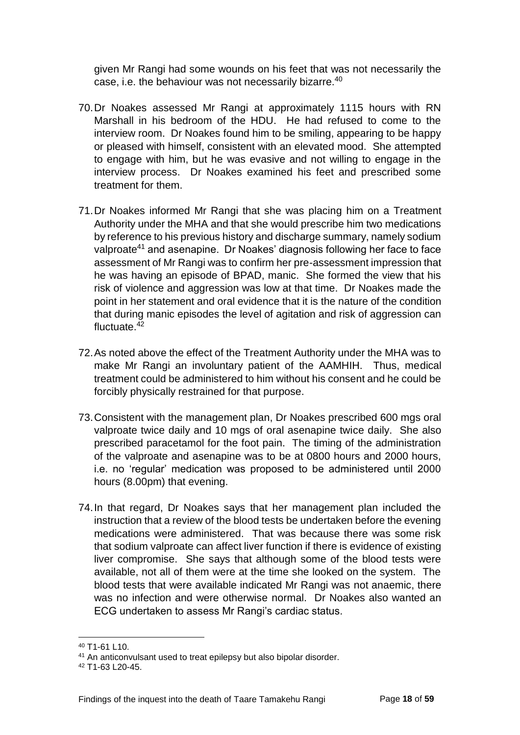given Mr Rangi had some wounds on his feet that was not necessarily the case, i.e. the behaviour was not necessarily bizarre.<sup>40</sup>

- 70.Dr Noakes assessed Mr Rangi at approximately 1115 hours with RN Marshall in his bedroom of the HDU. He had refused to come to the interview room. Dr Noakes found him to be smiling, appearing to be happy or pleased with himself, consistent with an elevated mood. She attempted to engage with him, but he was evasive and not willing to engage in the interview process. Dr Noakes examined his feet and prescribed some treatment for them.
- 71.Dr Noakes informed Mr Rangi that she was placing him on a Treatment Authority under the MHA and that she would prescribe him two medications by reference to his previous history and discharge summary, namely sodium valproate<sup>41</sup> and asenapine. Dr Noakes' diagnosis following her face to face assessment of Mr Rangi was to confirm her pre-assessment impression that he was having an episode of BPAD, manic. She formed the view that his risk of violence and aggression was low at that time. Dr Noakes made the point in her statement and oral evidence that it is the nature of the condition that during manic episodes the level of agitation and risk of aggression can fluctuate.<sup>42</sup>
- 72.As noted above the effect of the Treatment Authority under the MHA was to make Mr Rangi an involuntary patient of the AAMHIH. Thus, medical treatment could be administered to him without his consent and he could be forcibly physically restrained for that purpose.
- 73.Consistent with the management plan, Dr Noakes prescribed 600 mgs oral valproate twice daily and 10 mgs of oral asenapine twice daily. She also prescribed paracetamol for the foot pain. The timing of the administration of the valproate and asenapine was to be at 0800 hours and 2000 hours, i.e. no 'regular' medication was proposed to be administered until 2000 hours (8.00pm) that evening.
- 74.In that regard, Dr Noakes says that her management plan included the instruction that a review of the blood tests be undertaken before the evening medications were administered. That was because there was some risk that sodium valproate can affect liver function if there is evidence of existing liver compromise. She says that although some of the blood tests were available, not all of them were at the time she looked on the system. The blood tests that were available indicated Mr Rangi was not anaemic, there was no infection and were otherwise normal. Dr Noakes also wanted an ECG undertaken to assess Mr Rangi's cardiac status.

 $40$  T<sub>1-61</sub> L<sub>10</sub>

<sup>41</sup> An anticonvulsant used to treat epilepsy but also bipolar disorder.

<sup>42</sup> T1-63 L20-45.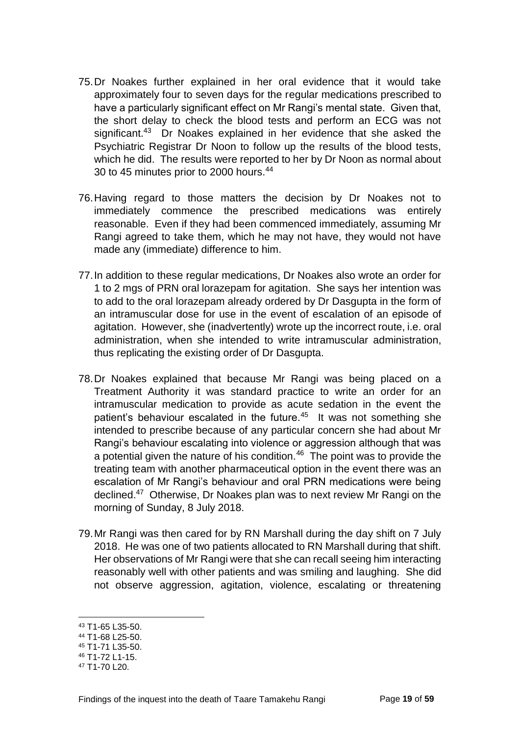- 75.Dr Noakes further explained in her oral evidence that it would take approximately four to seven days for the regular medications prescribed to have a particularly significant effect on Mr Rangi's mental state. Given that, the short delay to check the blood tests and perform an ECG was not significant.<sup>43</sup> Dr Noakes explained in her evidence that she asked the Psychiatric Registrar Dr Noon to follow up the results of the blood tests, which he did. The results were reported to her by Dr Noon as normal about 30 to 45 minutes prior to 2000 hours.<sup>44</sup>
- 76.Having regard to those matters the decision by Dr Noakes not to immediately commence the prescribed medications was entirely reasonable. Even if they had been commenced immediately, assuming Mr Rangi agreed to take them, which he may not have, they would not have made any (immediate) difference to him.
- 77.In addition to these regular medications, Dr Noakes also wrote an order for 1 to 2 mgs of PRN oral lorazepam for agitation. She says her intention was to add to the oral lorazepam already ordered by Dr Dasgupta in the form of an intramuscular dose for use in the event of escalation of an episode of agitation. However, she (inadvertently) wrote up the incorrect route, i.e. oral administration, when she intended to write intramuscular administration, thus replicating the existing order of Dr Dasgupta.
- 78.Dr Noakes explained that because Mr Rangi was being placed on a Treatment Authority it was standard practice to write an order for an intramuscular medication to provide as acute sedation in the event the patient's behaviour escalated in the future.<sup>45</sup> It was not something she intended to prescribe because of any particular concern she had about Mr Rangi's behaviour escalating into violence or aggression although that was a potential given the nature of his condition. $46$  The point was to provide the treating team with another pharmaceutical option in the event there was an escalation of Mr Rangi's behaviour and oral PRN medications were being declined.<sup>47</sup> Otherwise, Dr Noakes plan was to next review Mr Rangi on the morning of Sunday, 8 July 2018.
- 79.Mr Rangi was then cared for by RN Marshall during the day shift on 7 July 2018. He was one of two patients allocated to RN Marshall during that shift. Her observations of Mr Rangi were that she can recall seeing him interacting reasonably well with other patients and was smiling and laughing. She did not observe aggression, agitation, violence, escalating or threatening

<sup>43</sup> T1-65 L35-50.

<sup>44</sup> T1-68 L25-50.

<sup>45</sup> T1-71 L35-50.

<sup>46</sup> T1-72 L1-15.

<sup>47</sup> T1-70 L20.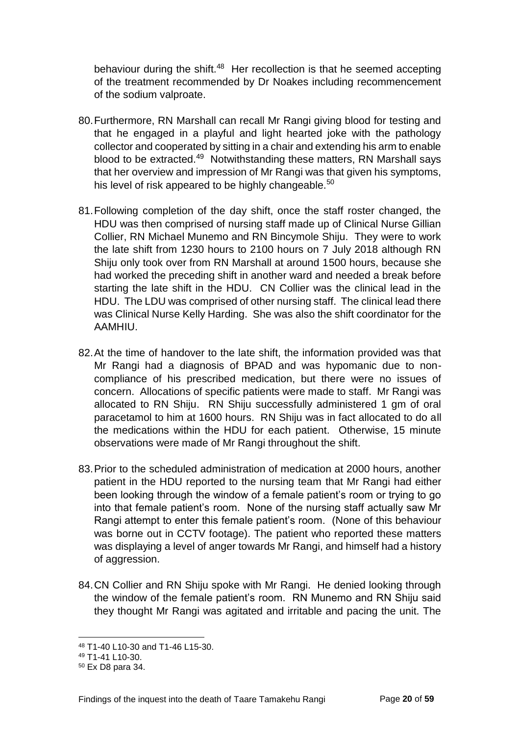behaviour during the shift.<sup>48</sup> Her recollection is that he seemed accepting of the treatment recommended by Dr Noakes including recommencement of the sodium valproate.

- 80.Furthermore, RN Marshall can recall Mr Rangi giving blood for testing and that he engaged in a playful and light hearted joke with the pathology collector and cooperated by sitting in a chair and extending his arm to enable blood to be extracted.<sup>49</sup> Notwithstanding these matters, RN Marshall says that her overview and impression of Mr Rangi was that given his symptoms, his level of risk appeared to be highly changeable.<sup>50</sup>
- 81.Following completion of the day shift, once the staff roster changed, the HDU was then comprised of nursing staff made up of Clinical Nurse Gillian Collier, RN Michael Munemo and RN Bincymole Shiju. They were to work the late shift from 1230 hours to 2100 hours on 7 July 2018 although RN Shiju only took over from RN Marshall at around 1500 hours, because she had worked the preceding shift in another ward and needed a break before starting the late shift in the HDU. CN Collier was the clinical lead in the HDU. The LDU was comprised of other nursing staff. The clinical lead there was Clinical Nurse Kelly Harding. She was also the shift coordinator for the AAMHIU.
- 82.At the time of handover to the late shift, the information provided was that Mr Rangi had a diagnosis of BPAD and was hypomanic due to noncompliance of his prescribed medication, but there were no issues of concern. Allocations of specific patients were made to staff. Mr Rangi was allocated to RN Shiju. RN Shiju successfully administered 1 gm of oral paracetamol to him at 1600 hours. RN Shiju was in fact allocated to do all the medications within the HDU for each patient. Otherwise, 15 minute observations were made of Mr Rangi throughout the shift.
- 83.Prior to the scheduled administration of medication at 2000 hours, another patient in the HDU reported to the nursing team that Mr Rangi had either been looking through the window of a female patient's room or trying to go into that female patient's room. None of the nursing staff actually saw Mr Rangi attempt to enter this female patient's room. (None of this behaviour was borne out in CCTV footage). The patient who reported these matters was displaying a level of anger towards Mr Rangi, and himself had a history of aggression.
- 84.CN Collier and RN Shiju spoke with Mr Rangi. He denied looking through the window of the female patient's room. RN Munemo and RN Shiju said they thought Mr Rangi was agitated and irritable and pacing the unit. The

<sup>48</sup> T1-40 L10-30 and T1-46 L15-30.

<sup>49</sup> T1-41 L10-30.

<sup>50</sup> Ex D8 para 34.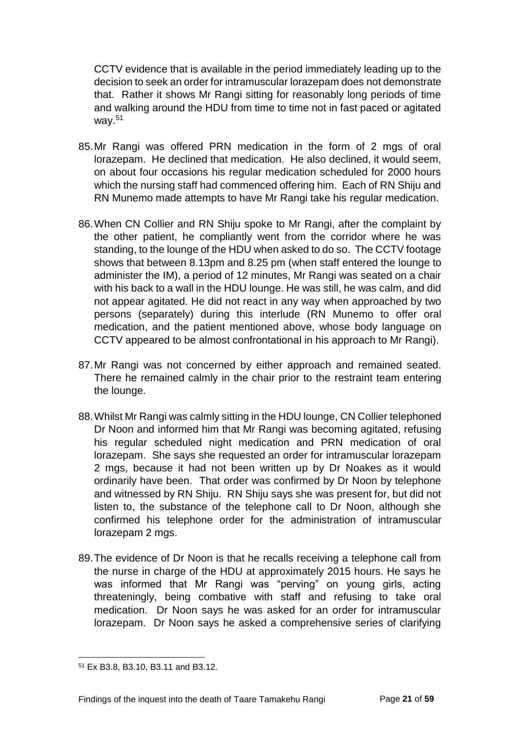CCTV evidence that is available in the period immediately leading up to the decision to seek an order for intramuscular lorazepam does not demonstrate that. Rather it shows Mr Rangi sitting for reasonably long periods of time and walking around the HDU from time to time not in fast paced or agitated way.<sup>51</sup>

- 85.Mr Rangi was offered PRN medication in the form of 2 mgs of oral lorazepam. He declined that medication. He also declined, it would seem, on about four occasions his regular medication scheduled for 2000 hours which the nursing staff had commenced offering him. Each of RN Shiju and RN Munemo made attempts to have Mr Rangi take his regular medication.
- 86.When CN Collier and RN Shiju spoke to Mr Rangi, after the complaint by the other patient, he compliantly went from the corridor where he was standing, to the lounge of the HDU when asked to do so. The CCTV footage shows that between 8.13pm and 8.25 pm (when staff entered the lounge to administer the IM), a period of 12 minutes, Mr Rangi was seated on a chair with his back to a wall in the HDU lounge. He was still, he was calm, and did not appear agitated. He did not react in any way when approached by two persons (separately) during this interlude (RN Munemo to offer oral medication, and the patient mentioned above, whose body language on CCTV appeared to be almost confrontational in his approach to Mr Rangi).
- 87.Mr Rangi was not concerned by either approach and remained seated. There he remained calmly in the chair prior to the restraint team entering the lounge.
- 88.Whilst Mr Rangi was calmly sitting in the HDU lounge, CN Collier telephoned Dr Noon and informed him that Mr Rangi was becoming agitated, refusing his regular scheduled night medication and PRN medication of oral lorazepam. She says she requested an order for intramuscular lorazepam 2 mgs, because it had not been written up by Dr Noakes as it would ordinarily have been. That order was confirmed by Dr Noon by telephone and witnessed by RN Shiju. RN Shiju says she was present for, but did not listen to, the substance of the telephone call to Dr Noon, although she confirmed his telephone order for the administration of intramuscular lorazepam 2 mgs.
- 89.The evidence of Dr Noon is that he recalls receiving a telephone call from the nurse in charge of the HDU at approximately 2015 hours. He says he was informed that Mr Rangi was "perving" on young girls, acting threateningly, being combative with staff and refusing to take oral medication. Dr Noon says he was asked for an order for intramuscular lorazepam. Dr Noon says he asked a comprehensive series of clarifying

l <sup>51</sup> Ex B3.8, B3.10, B3.11 and B3.12.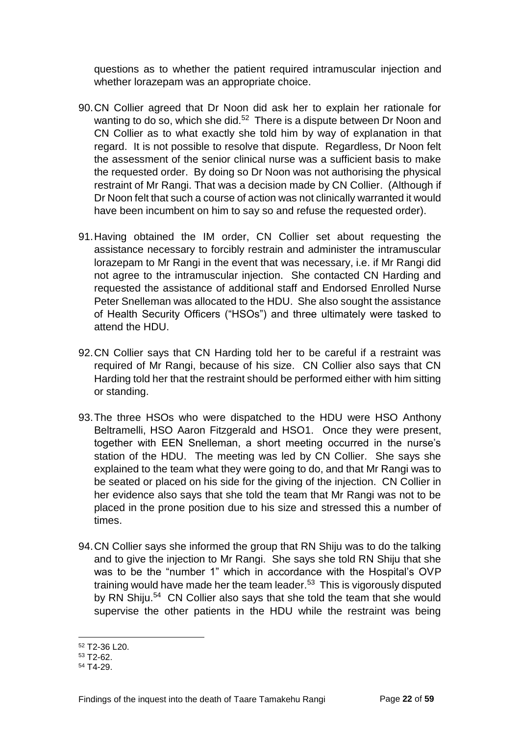questions as to whether the patient required intramuscular injection and whether lorazepam was an appropriate choice.

- 90.CN Collier agreed that Dr Noon did ask her to explain her rationale for wanting to do so, which she did. $52$  There is a dispute between Dr Noon and CN Collier as to what exactly she told him by way of explanation in that regard. It is not possible to resolve that dispute. Regardless, Dr Noon felt the assessment of the senior clinical nurse was a sufficient basis to make the requested order. By doing so Dr Noon was not authorising the physical restraint of Mr Rangi. That was a decision made by CN Collier. (Although if Dr Noon felt that such a course of action was not clinically warranted it would have been incumbent on him to say so and refuse the requested order).
- 91.Having obtained the IM order, CN Collier set about requesting the assistance necessary to forcibly restrain and administer the intramuscular lorazepam to Mr Rangi in the event that was necessary, i.e. if Mr Rangi did not agree to the intramuscular injection. She contacted CN Harding and requested the assistance of additional staff and Endorsed Enrolled Nurse Peter Snelleman was allocated to the HDU. She also sought the assistance of Health Security Officers ("HSOs") and three ultimately were tasked to attend the HDU.
- 92.CN Collier says that CN Harding told her to be careful if a restraint was required of Mr Rangi, because of his size. CN Collier also says that CN Harding told her that the restraint should be performed either with him sitting or standing.
- 93.The three HSOs who were dispatched to the HDU were HSO Anthony Beltramelli, HSO Aaron Fitzgerald and HSO1. Once they were present, together with EEN Snelleman, a short meeting occurred in the nurse's station of the HDU. The meeting was led by CN Collier. She says she explained to the team what they were going to do, and that Mr Rangi was to be seated or placed on his side for the giving of the injection. CN Collier in her evidence also says that she told the team that Mr Rangi was not to be placed in the prone position due to his size and stressed this a number of times.
- 94.CN Collier says she informed the group that RN Shiju was to do the talking and to give the injection to Mr Rangi. She says she told RN Shiju that she was to be the "number 1" which in accordance with the Hospital's OVP training would have made her the team leader.<sup>53</sup> This is vigorously disputed by RN Shiju.<sup>54</sup> CN Collier also says that she told the team that she would supervise the other patients in the HDU while the restraint was being

l <sup>52</sup> T2-36 L20.

<sup>53</sup> T2-62.

<sup>54</sup> T4-29.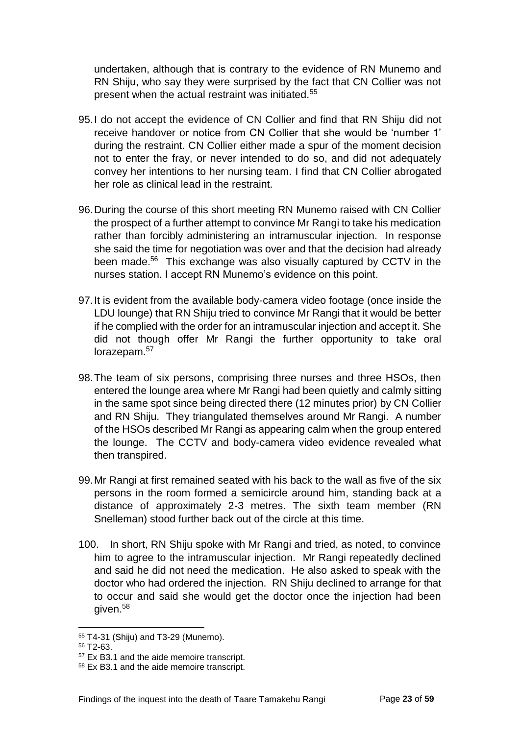undertaken, although that is contrary to the evidence of RN Munemo and RN Shiju, who say they were surprised by the fact that CN Collier was not present when the actual restraint was initiated. $55$ 

- 95.I do not accept the evidence of CN Collier and find that RN Shiju did not receive handover or notice from CN Collier that she would be 'number 1' during the restraint. CN Collier either made a spur of the moment decision not to enter the fray, or never intended to do so, and did not adequately convey her intentions to her nursing team. I find that CN Collier abrogated her role as clinical lead in the restraint.
- 96.During the course of this short meeting RN Munemo raised with CN Collier the prospect of a further attempt to convince Mr Rangi to take his medication rather than forcibly administering an intramuscular injection. In response she said the time for negotiation was over and that the decision had already been made.<sup>56</sup> This exchange was also visually captured by CCTV in the nurses station. I accept RN Munemo's evidence on this point.
- 97.It is evident from the available body-camera video footage (once inside the LDU lounge) that RN Shiju tried to convince Mr Rangi that it would be better if he complied with the order for an intramuscular injection and accept it. She did not though offer Mr Rangi the further opportunity to take oral lorazepam.<sup>57</sup>
- 98.The team of six persons, comprising three nurses and three HSOs, then entered the lounge area where Mr Rangi had been quietly and calmly sitting in the same spot since being directed there (12 minutes prior) by CN Collier and RN Shiju. They triangulated themselves around Mr Rangi. A number of the HSOs described Mr Rangi as appearing calm when the group entered the lounge. The CCTV and body-camera video evidence revealed what then transpired.
- 99.Mr Rangi at first remained seated with his back to the wall as five of the six persons in the room formed a semicircle around him, standing back at a distance of approximately 2-3 metres. The sixth team member (RN Snelleman) stood further back out of the circle at this time.
- 100. In short, RN Shiju spoke with Mr Rangi and tried, as noted, to convince him to agree to the intramuscular injection. Mr Rangi repeatedly declined and said he did not need the medication. He also asked to speak with the doctor who had ordered the injection. RN Shiju declined to arrange for that to occur and said she would get the doctor once the injection had been given.<sup>58</sup>

<sup>55</sup> T4-31 (Shiju) and T3-29 (Munemo).

<sup>56</sup> T2-63.

<sup>57</sup> Ex B3.1 and the aide memoire transcript.

<sup>58</sup> Ex B3.1 and the aide memoire transcript.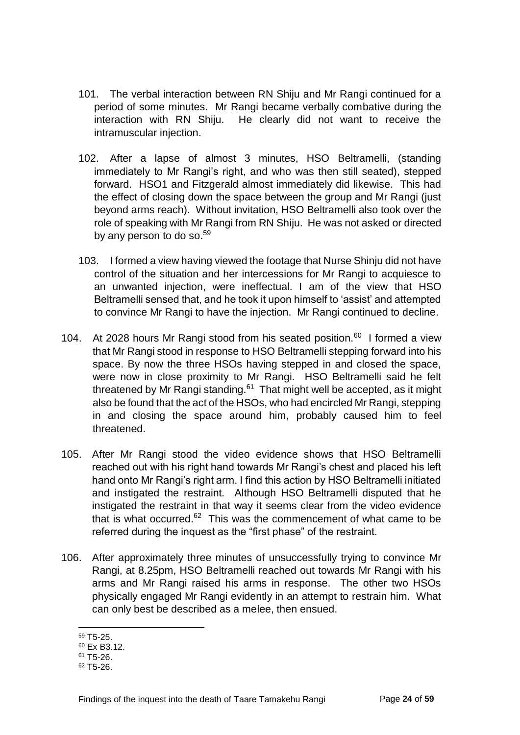- 101. The verbal interaction between RN Shiju and Mr Rangi continued for a period of some minutes. Mr Rangi became verbally combative during the interaction with RN Shiju. He clearly did not want to receive the intramuscular injection.
- 102. After a lapse of almost 3 minutes, HSO Beltramelli, (standing immediately to Mr Rangi's right, and who was then still seated), stepped forward. HSO1 and Fitzgerald almost immediately did likewise. This had the effect of closing down the space between the group and Mr Rangi (just beyond arms reach). Without invitation, HSO Beltramelli also took over the role of speaking with Mr Rangi from RN Shiju. He was not asked or directed by any person to do so.<sup>59</sup>
- 103. I formed a view having viewed the footage that Nurse Shinju did not have control of the situation and her intercessions for Mr Rangi to acquiesce to an unwanted injection, were ineffectual. I am of the view that HSO Beltramelli sensed that, and he took it upon himself to 'assist' and attempted to convince Mr Rangi to have the injection. Mr Rangi continued to decline.
- 104. At 2028 hours Mr Rangi stood from his seated position. $60$  I formed a view that Mr Rangi stood in response to HSO Beltramelli stepping forward into his space. By now the three HSOs having stepped in and closed the space, were now in close proximity to Mr Rangi. HSO Beltramelli said he felt threatened by Mr Rangi standing.<sup>61</sup> That might well be accepted, as it might also be found that the act of the HSOs, who had encircled Mr Rangi, stepping in and closing the space around him, probably caused him to feel threatened.
- 105. After Mr Rangi stood the video evidence shows that HSO Beltramelli reached out with his right hand towards Mr Rangi's chest and placed his left hand onto Mr Rangi's right arm. I find this action by HSO Beltramelli initiated and instigated the restraint. Although HSO Beltramelli disputed that he instigated the restraint in that way it seems clear from the video evidence that is what occurred.<sup>62</sup> This was the commencement of what came to be referred during the inquest as the "first phase" of the restraint.
- 106. After approximately three minutes of unsuccessfully trying to convince Mr Rangi, at 8.25pm, HSO Beltramelli reached out towards Mr Rangi with his arms and Mr Rangi raised his arms in response. The other two HSOs physically engaged Mr Rangi evidently in an attempt to restrain him. What can only best be described as a melee, then ensued.

<sup>59</sup> T5-25.

<sup>60</sup> Ex B3.12.

 $61$  T<sub>5</sub>-26.

<sup>62</sup> T5-26.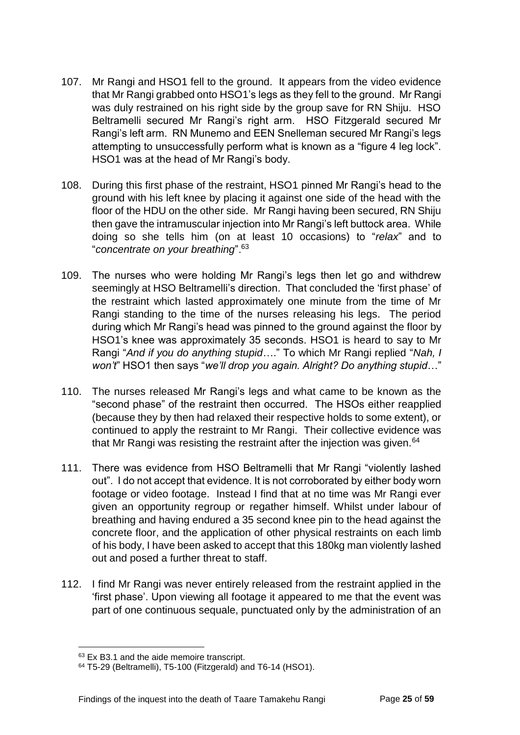- 107. Mr Rangi and HSO1 fell to the ground. It appears from the video evidence that Mr Rangi grabbed onto HSO1's legs as they fell to the ground. Mr Rangi was duly restrained on his right side by the group save for RN Shiju. HSO Beltramelli secured Mr Rangi's right arm. HSO Fitzgerald secured Mr Rangi's left arm. RN Munemo and EEN Snelleman secured Mr Rangi's legs attempting to unsuccessfully perform what is known as a "figure 4 leg lock". HSO1 was at the head of Mr Rangi's body.
- 108. During this first phase of the restraint, HSO1 pinned Mr Rangi's head to the ground with his left knee by placing it against one side of the head with the floor of the HDU on the other side. Mr Rangi having been secured, RN Shiju then gave the intramuscular injection into Mr Rangi's left buttock area. While doing so she tells him (on at least 10 occasions) to "*relax*" and to "*concentrate on your breathing*".<sup>63</sup>
- 109. The nurses who were holding Mr Rangi's legs then let go and withdrew seemingly at HSO Beltramelli's direction. That concluded the 'first phase' of the restraint which lasted approximately one minute from the time of Mr Rangi standing to the time of the nurses releasing his legs. The period during which Mr Rangi's head was pinned to the ground against the floor by HSO1's knee was approximately 35 seconds. HSO1 is heard to say to Mr Rangi "*And if you do anything stupid*…." To which Mr Rangi replied "*Nah, I won't*" HSO1 then says "*we'll drop you again. Alright? Do anything stupid*…"
- 110. The nurses released Mr Rangi's legs and what came to be known as the "second phase" of the restraint then occurred. The HSOs either reapplied (because they by then had relaxed their respective holds to some extent), or continued to apply the restraint to Mr Rangi. Their collective evidence was that Mr Rangi was resisting the restraint after the injection was given.  $64$
- 111. There was evidence from HSO Beltramelli that Mr Rangi "violently lashed out". I do not accept that evidence. It is not corroborated by either body worn footage or video footage. Instead I find that at no time was Mr Rangi ever given an opportunity regroup or regather himself. Whilst under labour of breathing and having endured a 35 second knee pin to the head against the concrete floor, and the application of other physical restraints on each limb of his body, I have been asked to accept that this 180kg man violently lashed out and posed a further threat to staff.
- 112. I find Mr Rangi was never entirely released from the restraint applied in the 'first phase'. Upon viewing all footage it appeared to me that the event was part of one continuous sequale, punctuated only by the administration of an

<sup>63</sup> Ex B3.1 and the aide memoire transcript.

<sup>64</sup> T5-29 (Beltramelli), T5-100 (Fitzgerald) and T6-14 (HSO1).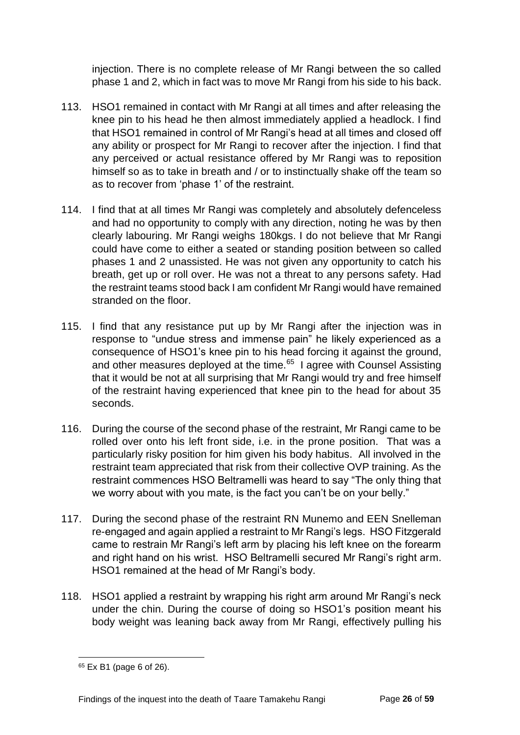injection. There is no complete release of Mr Rangi between the so called phase 1 and 2, which in fact was to move Mr Rangi from his side to his back.

- 113. HSO1 remained in contact with Mr Rangi at all times and after releasing the knee pin to his head he then almost immediately applied a headlock. I find that HSO1 remained in control of Mr Rangi's head at all times and closed off any ability or prospect for Mr Rangi to recover after the injection. I find that any perceived or actual resistance offered by Mr Rangi was to reposition himself so as to take in breath and / or to instinctually shake off the team so as to recover from 'phase 1' of the restraint.
- 114. I find that at all times Mr Rangi was completely and absolutely defenceless and had no opportunity to comply with any direction, noting he was by then clearly labouring. Mr Rangi weighs 180kgs. I do not believe that Mr Rangi could have come to either a seated or standing position between so called phases 1 and 2 unassisted. He was not given any opportunity to catch his breath, get up or roll over. He was not a threat to any persons safety. Had the restraint teams stood back I am confident Mr Rangi would have remained stranded on the floor.
- 115. I find that any resistance put up by Mr Rangi after the injection was in response to "undue stress and immense pain" he likely experienced as a consequence of HSO1's knee pin to his head forcing it against the ground, and other measures deployed at the time. $65$  I agree with Counsel Assisting that it would be not at all surprising that Mr Rangi would try and free himself of the restraint having experienced that knee pin to the head for about 35 seconds.
- 116. During the course of the second phase of the restraint, Mr Rangi came to be rolled over onto his left front side, i.e. in the prone position. That was a particularly risky position for him given his body habitus. All involved in the restraint team appreciated that risk from their collective OVP training. As the restraint commences HSO Beltramelli was heard to say "The only thing that we worry about with you mate, is the fact you can't be on your belly."
- 117. During the second phase of the restraint RN Munemo and EEN Snelleman re-engaged and again applied a restraint to Mr Rangi's legs. HSO Fitzgerald came to restrain Mr Rangi's left arm by placing his left knee on the forearm and right hand on his wrist. HSO Beltramelli secured Mr Rangi's right arm. HSO1 remained at the head of Mr Rangi's body.
- 118. HSO1 applied a restraint by wrapping his right arm around Mr Rangi's neck under the chin. During the course of doing so HSO1's position meant his body weight was leaning back away from Mr Rangi, effectively pulling his

l <sup>65</sup> Ex B1 (page 6 of 26).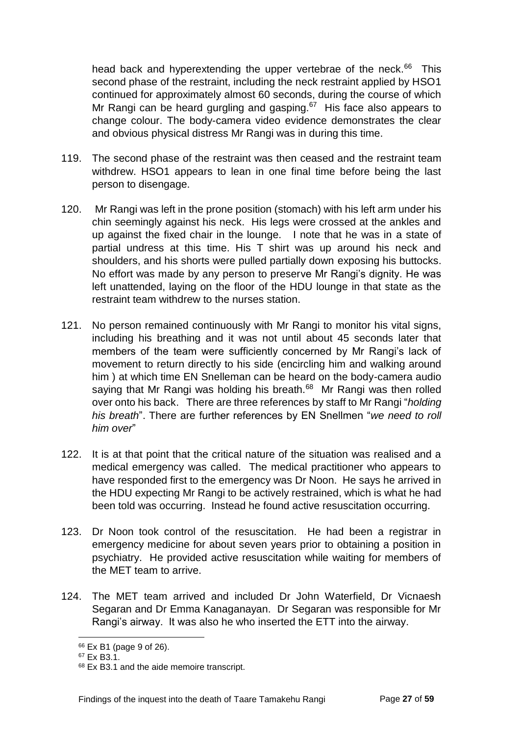head back and hyperextending the upper vertebrae of the neck.<sup>66</sup> This second phase of the restraint, including the neck restraint applied by HSO1 continued for approximately almost 60 seconds, during the course of which Mr Rangi can be heard gurgling and gasping. $67$  His face also appears to change colour. The body-camera video evidence demonstrates the clear and obvious physical distress Mr Rangi was in during this time.

- 119. The second phase of the restraint was then ceased and the restraint team withdrew. HSO1 appears to lean in one final time before being the last person to disengage.
- 120. Mr Rangi was left in the prone position (stomach) with his left arm under his chin seemingly against his neck. His legs were crossed at the ankles and up against the fixed chair in the lounge. I note that he was in a state of partial undress at this time. His T shirt was up around his neck and shoulders, and his shorts were pulled partially down exposing his buttocks. No effort was made by any person to preserve Mr Rangi's dignity. He was left unattended, laying on the floor of the HDU lounge in that state as the restraint team withdrew to the nurses station.
- 121. No person remained continuously with Mr Rangi to monitor his vital signs, including his breathing and it was not until about 45 seconds later that members of the team were sufficiently concerned by Mr Rangi's lack of movement to return directly to his side (encircling him and walking around him ) at which time EN Snelleman can be heard on the body-camera audio saying that Mr Rangi was holding his breath.<sup>68</sup> Mr Rangi was then rolled over onto his back. There are three references by staff to Mr Rangi "*holding his breath*". There are further references by EN Snellmen "*we need to roll him over*"
- 122. It is at that point that the critical nature of the situation was realised and a medical emergency was called. The medical practitioner who appears to have responded first to the emergency was Dr Noon. He says he arrived in the HDU expecting Mr Rangi to be actively restrained, which is what he had been told was occurring. Instead he found active resuscitation occurring.
- 123. Dr Noon took control of the resuscitation. He had been a registrar in emergency medicine for about seven years prior to obtaining a position in psychiatry. He provided active resuscitation while waiting for members of the MET team to arrive.
- 124. The MET team arrived and included Dr John Waterfield, Dr Vicnaesh Segaran and Dr Emma Kanaganayan. Dr Segaran was responsible for Mr Rangi's airway. It was also he who inserted the ETT into the airway.

l <sup>66</sup> Ex B1 (page 9 of 26).

<sup>67</sup> Ex B3.1.

<sup>68</sup> Ex B3.1 and the aide memoire transcript.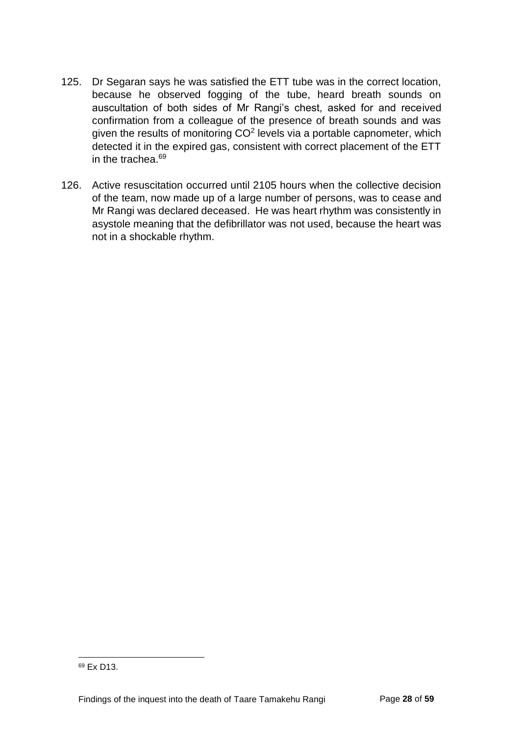- 125. Dr Segaran says he was satisfied the ETT tube was in the correct location, because he observed fogging of the tube, heard breath sounds on auscultation of both sides of Mr Rangi's chest, asked for and received confirmation from a colleague of the presence of breath sounds and was given the results of monitoring  $CO<sup>2</sup>$  levels via a portable capnometer, which detected it in the expired gas, consistent with correct placement of the ETT in the trachea.<sup>69</sup>
- 126. Active resuscitation occurred until 2105 hours when the collective decision of the team, now made up of a large number of persons, was to cease and Mr Rangi was declared deceased. He was heart rhythm was consistently in asystole meaning that the defibrillator was not used, because the heart was not in a shockable rhythm.

<sup>69</sup> Ex D13.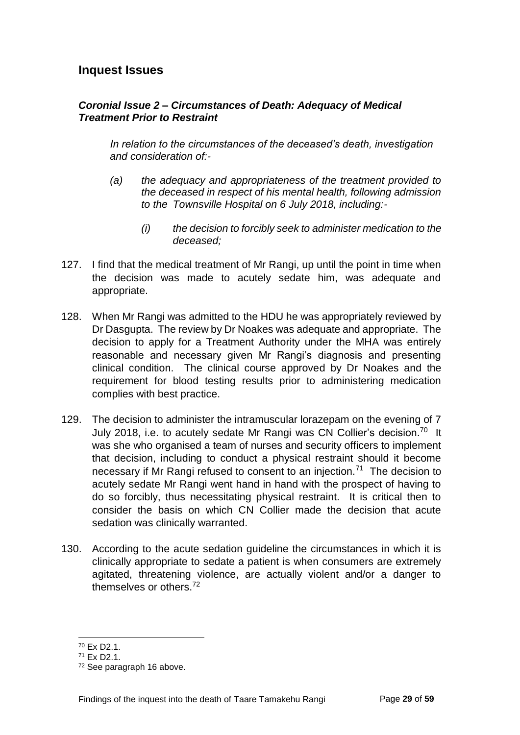## <span id="page-31-0"></span>**Inquest Issues**

#### <span id="page-31-1"></span>*Coronial Issue 2 – Circumstances of Death: Adequacy of Medical Treatment Prior to Restraint*

*In relation to the circumstances of the deceased's death, investigation and consideration of:-*

- *(a) the adequacy and appropriateness of the treatment provided to the deceased in respect of his mental health, following admission to the Townsville Hospital on 6 July 2018, including:-*
	- *(i) the decision to forcibly seek to administer medication to the deceased;*
- 127. I find that the medical treatment of Mr Rangi, up until the point in time when the decision was made to acutely sedate him, was adequate and appropriate.
- 128. When Mr Rangi was admitted to the HDU he was appropriately reviewed by Dr Dasgupta. The review by Dr Noakes was adequate and appropriate. The decision to apply for a Treatment Authority under the MHA was entirely reasonable and necessary given Mr Rangi's diagnosis and presenting clinical condition. The clinical course approved by Dr Noakes and the requirement for blood testing results prior to administering medication complies with best practice.
- 129. The decision to administer the intramuscular lorazepam on the evening of 7 July 2018, i.e. to acutely sedate Mr Rangi was CN Collier's decision.<sup>70</sup> It was she who organised a team of nurses and security officers to implement that decision, including to conduct a physical restraint should it become necessary if Mr Rangi refused to consent to an injection.<sup>71</sup> The decision to acutely sedate Mr Rangi went hand in hand with the prospect of having to do so forcibly, thus necessitating physical restraint. It is critical then to consider the basis on which CN Collier made the decision that acute sedation was clinically warranted.
- 130. According to the acute sedation guideline the circumstances in which it is clinically appropriate to sedate a patient is when consumers are extremely agitated, threatening violence, are actually violent and/or a danger to themselves or others.<sup>72</sup>

<sup>70</sup> Ex D2.1.

<sup>71</sup> Ex D2.1.

<sup>72</sup> See paragraph 16 above.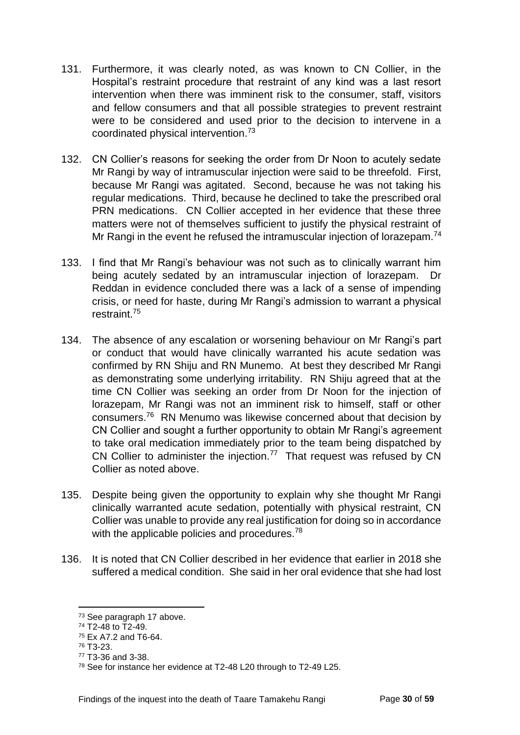- 131. Furthermore, it was clearly noted, as was known to CN Collier, in the Hospital's restraint procedure that restraint of any kind was a last resort intervention when there was imminent risk to the consumer, staff, visitors and fellow consumers and that all possible strategies to prevent restraint were to be considered and used prior to the decision to intervene in a coordinated physical intervention.<sup>73</sup>
- 132. CN Collier's reasons for seeking the order from Dr Noon to acutely sedate Mr Rangi by way of intramuscular injection were said to be threefold. First, because Mr Rangi was agitated. Second, because he was not taking his regular medications. Third, because he declined to take the prescribed oral PRN medications. CN Collier accepted in her evidence that these three matters were not of themselves sufficient to justify the physical restraint of Mr Rangi in the event he refused the intramuscular injection of lorazepam.<sup>74</sup>
- 133. I find that Mr Rangi's behaviour was not such as to clinically warrant him being acutely sedated by an intramuscular injection of lorazepam. Dr Reddan in evidence concluded there was a lack of a sense of impending crisis, or need for haste, during Mr Rangi's admission to warrant a physical restraint.<sup>75</sup>
- 134. The absence of any escalation or worsening behaviour on Mr Rangi's part or conduct that would have clinically warranted his acute sedation was confirmed by RN Shiju and RN Munemo. At best they described Mr Rangi as demonstrating some underlying irritability. RN Shiju agreed that at the time CN Collier was seeking an order from Dr Noon for the injection of lorazepam, Mr Rangi was not an imminent risk to himself, staff or other consumers.<sup>76</sup> RN Menumo was likewise concerned about that decision by CN Collier and sought a further opportunity to obtain Mr Rangi's agreement to take oral medication immediately prior to the team being dispatched by CN Collier to administer the injection.<sup>77</sup> That request was refused by CN Collier as noted above.
- 135. Despite being given the opportunity to explain why she thought Mr Rangi clinically warranted acute sedation, potentially with physical restraint, CN Collier was unable to provide any real justification for doing so in accordance with the applicable policies and procedures.<sup>78</sup>
- 136. It is noted that CN Collier described in her evidence that earlier in 2018 she suffered a medical condition. She said in her oral evidence that she had lost

<sup>73</sup> See paragraph 17 above.

<sup>74</sup> T2-48 to T2-49.

<sup>75</sup> Ex A7.2 and T6-64.

<sup>76</sup> T3-23.

<sup>77</sup> T3-36 and 3-38.

<sup>78</sup> See for instance her evidence at T2-48 L20 through to T2-49 L25.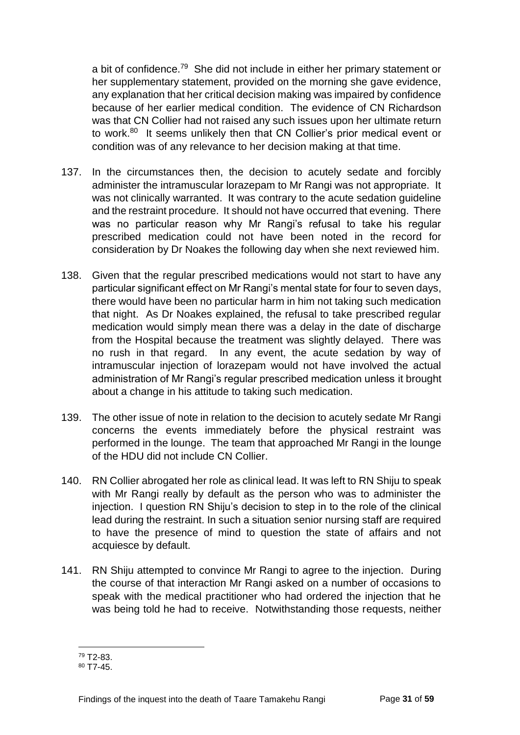a bit of confidence.<sup>79</sup> She did not include in either her primary statement or her supplementary statement, provided on the morning she gave evidence, any explanation that her critical decision making was impaired by confidence because of her earlier medical condition. The evidence of CN Richardson was that CN Collier had not raised any such issues upon her ultimate return to work.<sup>80</sup> It seems unlikely then that CN Collier's prior medical event or condition was of any relevance to her decision making at that time.

- 137. In the circumstances then, the decision to acutely sedate and forcibly administer the intramuscular lorazepam to Mr Rangi was not appropriate. It was not clinically warranted. It was contrary to the acute sedation guideline and the restraint procedure. It should not have occurred that evening. There was no particular reason why Mr Rangi's refusal to take his regular prescribed medication could not have been noted in the record for consideration by Dr Noakes the following day when she next reviewed him.
- 138. Given that the regular prescribed medications would not start to have any particular significant effect on Mr Rangi's mental state for four to seven days, there would have been no particular harm in him not taking such medication that night. As Dr Noakes explained, the refusal to take prescribed regular medication would simply mean there was a delay in the date of discharge from the Hospital because the treatment was slightly delayed. There was no rush in that regard. In any event, the acute sedation by way of intramuscular injection of lorazepam would not have involved the actual administration of Mr Rangi's regular prescribed medication unless it brought about a change in his attitude to taking such medication.
- 139. The other issue of note in relation to the decision to acutely sedate Mr Rangi concerns the events immediately before the physical restraint was performed in the lounge. The team that approached Mr Rangi in the lounge of the HDU did not include CN Collier.
- 140. RN Collier abrogated her role as clinical lead. It was left to RN Shiju to speak with Mr Rangi really by default as the person who was to administer the injection. I question RN Shiju's decision to step in to the role of the clinical lead during the restraint. In such a situation senior nursing staff are required to have the presence of mind to question the state of affairs and not acquiesce by default.
- 141. RN Shiju attempted to convince Mr Rangi to agree to the injection. During the course of that interaction Mr Rangi asked on a number of occasions to speak with the medical practitioner who had ordered the injection that he was being told he had to receive. Notwithstanding those requests, neither

<sup>79</sup> T2-83.

<sup>80</sup> T7-45.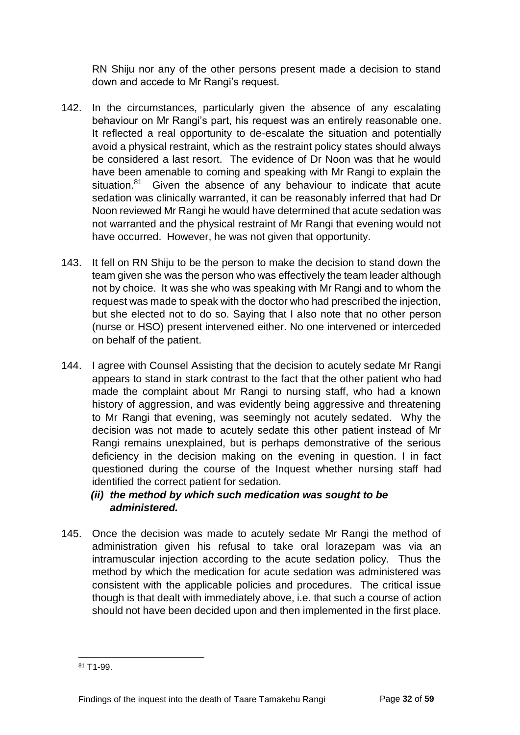RN Shiju nor any of the other persons present made a decision to stand down and accede to Mr Rangi's request.

- 142. In the circumstances, particularly given the absence of any escalating behaviour on Mr Rangi's part, his request was an entirely reasonable one. It reflected a real opportunity to de-escalate the situation and potentially avoid a physical restraint, which as the restraint policy states should always be considered a last resort. The evidence of Dr Noon was that he would have been amenable to coming and speaking with Mr Rangi to explain the situation.<sup>81</sup> Given the absence of any behaviour to indicate that acute sedation was clinically warranted, it can be reasonably inferred that had Dr Noon reviewed Mr Rangi he would have determined that acute sedation was not warranted and the physical restraint of Mr Rangi that evening would not have occurred. However, he was not given that opportunity.
- 143. It fell on RN Shiju to be the person to make the decision to stand down the team given she was the person who was effectively the team leader although not by choice. It was she who was speaking with Mr Rangi and to whom the request was made to speak with the doctor who had prescribed the injection, but she elected not to do so. Saying that I also note that no other person (nurse or HSO) present intervened either. No one intervened or interceded on behalf of the patient.
- 144. I agree with Counsel Assisting that the decision to acutely sedate Mr Rangi appears to stand in stark contrast to the fact that the other patient who had made the complaint about Mr Rangi to nursing staff, who had a known history of aggression, and was evidently being aggressive and threatening to Mr Rangi that evening, was seemingly not acutely sedated. Why the decision was not made to acutely sedate this other patient instead of Mr Rangi remains unexplained, but is perhaps demonstrative of the serious deficiency in the decision making on the evening in question. I in fact questioned during the course of the Inquest whether nursing staff had identified the correct patient for sedation.
	- *(ii) the method by which such medication was sought to be administered.*
- 145. Once the decision was made to acutely sedate Mr Rangi the method of administration given his refusal to take oral lorazepam was via an intramuscular injection according to the acute sedation policy. Thus the method by which the medication for acute sedation was administered was consistent with the applicable policies and procedures. The critical issue though is that dealt with immediately above, i.e. that such a course of action should not have been decided upon and then implemented in the first place.

l <sup>81</sup> T1-99.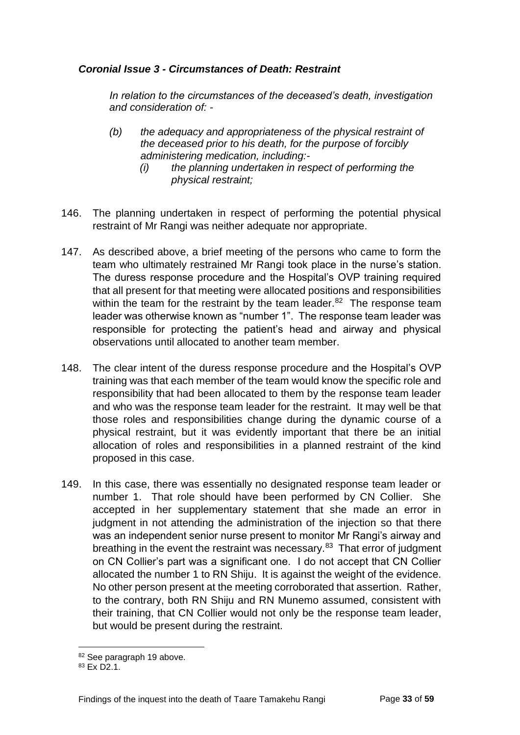#### <span id="page-35-0"></span>*Coronial Issue 3 - Circumstances of Death: Restraint*

*In relation to the circumstances of the deceased's death, investigation and consideration of: -*

- *(b) the adequacy and appropriateness of the physical restraint of the deceased prior to his death, for the purpose of forcibly administering medication, including:-*
	- *(i) the planning undertaken in respect of performing the physical restraint;*
- 146. The planning undertaken in respect of performing the potential physical restraint of Mr Rangi was neither adequate nor appropriate.
- 147. As described above, a brief meeting of the persons who came to form the team who ultimately restrained Mr Rangi took place in the nurse's station. The duress response procedure and the Hospital's OVP training required that all present for that meeting were allocated positions and responsibilities within the team for the restraint by the team leader. $82$  The response team leader was otherwise known as "number 1". The response team leader was responsible for protecting the patient's head and airway and physical observations until allocated to another team member.
- 148. The clear intent of the duress response procedure and the Hospital's OVP training was that each member of the team would know the specific role and responsibility that had been allocated to them by the response team leader and who was the response team leader for the restraint. It may well be that those roles and responsibilities change during the dynamic course of a physical restraint, but it was evidently important that there be an initial allocation of roles and responsibilities in a planned restraint of the kind proposed in this case.
- 149. In this case, there was essentially no designated response team leader or number 1. That role should have been performed by CN Collier. She accepted in her supplementary statement that she made an error in judgment in not attending the administration of the injection so that there was an independent senior nurse present to monitor Mr Rangi's airway and breathing in the event the restraint was necessary.<sup>83</sup> That error of judgment on CN Collier's part was a significant one. I do not accept that CN Collier allocated the number 1 to RN Shiju. It is against the weight of the evidence. No other person present at the meeting corroborated that assertion. Rather, to the contrary, both RN Shiju and RN Munemo assumed, consistent with their training, that CN Collier would not only be the response team leader, but would be present during the restraint.

<sup>82</sup> See paragraph 19 above.

 $83$  Fx D2.1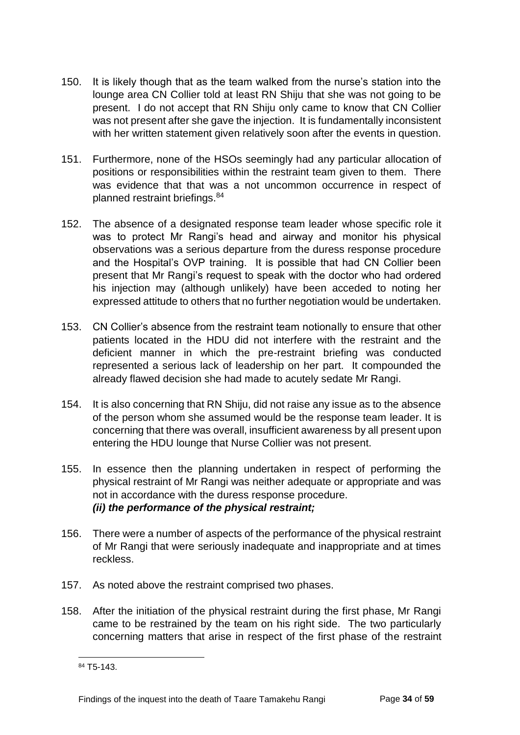- 150. It is likely though that as the team walked from the nurse's station into the lounge area CN Collier told at least RN Shiju that she was not going to be present. I do not accept that RN Shiju only came to know that CN Collier was not present after she gave the injection. It is fundamentally inconsistent with her written statement given relatively soon after the events in question.
- 151. Furthermore, none of the HSOs seemingly had any particular allocation of positions or responsibilities within the restraint team given to them. There was evidence that that was a not uncommon occurrence in respect of planned restraint briefings.<sup>84</sup>
- 152. The absence of a designated response team leader whose specific role it was to protect Mr Rangi's head and airway and monitor his physical observations was a serious departure from the duress response procedure and the Hospital's OVP training. It is possible that had CN Collier been present that Mr Rangi's request to speak with the doctor who had ordered his injection may (although unlikely) have been acceded to noting her expressed attitude to others that no further negotiation would be undertaken.
- 153. CN Collier's absence from the restraint team notionally to ensure that other patients located in the HDU did not interfere with the restraint and the deficient manner in which the pre-restraint briefing was conducted represented a serious lack of leadership on her part. It compounded the already flawed decision she had made to acutely sedate Mr Rangi.
- 154. It is also concerning that RN Shiju, did not raise any issue as to the absence of the person whom she assumed would be the response team leader. It is concerning that there was overall, insufficient awareness by all present upon entering the HDU lounge that Nurse Collier was not present.
- 155. In essence then the planning undertaken in respect of performing the physical restraint of Mr Rangi was neither adequate or appropriate and was not in accordance with the duress response procedure. *(ii) the performance of the physical restraint;*
- 156. There were a number of aspects of the performance of the physical restraint of Mr Rangi that were seriously inadequate and inappropriate and at times reckless.
- 157. As noted above the restraint comprised two phases.
- 158. After the initiation of the physical restraint during the first phase, Mr Rangi came to be restrained by the team on his right side. The two particularly concerning matters that arise in respect of the first phase of the restraint

l <sup>84</sup> T5-143.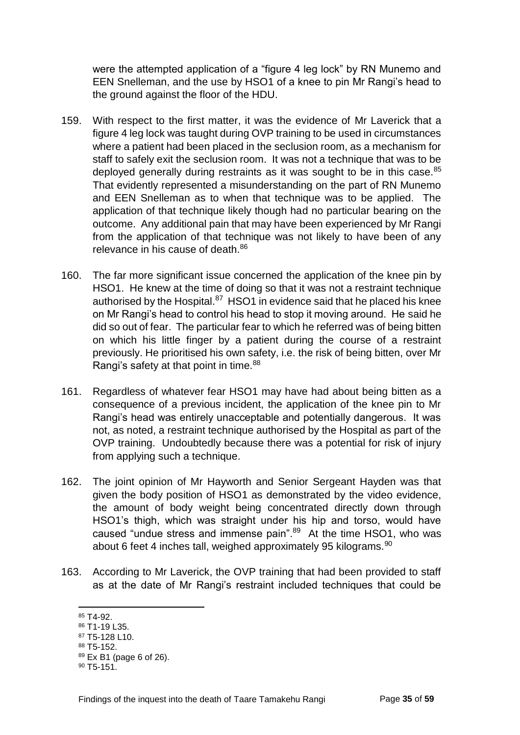were the attempted application of a "figure 4 leg lock" by RN Munemo and EEN Snelleman, and the use by HSO1 of a knee to pin Mr Rangi's head to the ground against the floor of the HDU.

- 159. With respect to the first matter, it was the evidence of Mr Laverick that a figure 4 leg lock was taught during OVP training to be used in circumstances where a patient had been placed in the seclusion room, as a mechanism for staff to safely exit the seclusion room. It was not a technique that was to be deployed generally during restraints as it was sought to be in this case.<sup>85</sup> That evidently represented a misunderstanding on the part of RN Munemo and EEN Snelleman as to when that technique was to be applied. The application of that technique likely though had no particular bearing on the outcome. Any additional pain that may have been experienced by Mr Rangi from the application of that technique was not likely to have been of any relevance in his cause of death.<sup>86</sup>
- 160. The far more significant issue concerned the application of the knee pin by HSO1. He knew at the time of doing so that it was not a restraint technique authorised by the Hospital.<sup>87</sup> HSO1 in evidence said that he placed his knee on Mr Rangi's head to control his head to stop it moving around. He said he did so out of fear. The particular fear to which he referred was of being bitten on which his little finger by a patient during the course of a restraint previously. He prioritised his own safety, i.e. the risk of being bitten, over Mr Rangi's safety at that point in time. $88$
- 161. Regardless of whatever fear HSO1 may have had about being bitten as a consequence of a previous incident, the application of the knee pin to Mr Rangi's head was entirely unacceptable and potentially dangerous. It was not, as noted, a restraint technique authorised by the Hospital as part of the OVP training. Undoubtedly because there was a potential for risk of injury from applying such a technique.
- 162. The joint opinion of Mr Hayworth and Senior Sergeant Hayden was that given the body position of HSO1 as demonstrated by the video evidence, the amount of body weight being concentrated directly down through HSO1's thigh, which was straight under his hip and torso, would have caused "undue stress and immense pain".<sup>89</sup> At the time HSO1, who was about 6 feet 4 inches tall, weighed approximately 95 kilograms.  $90$
- 163. According to Mr Laverick, the OVP training that had been provided to staff as at the date of Mr Rangi's restraint included techniques that could be

<sup>85</sup> T4-92.

<sup>86</sup> T1-19 L35.

<sup>87</sup> T5-128 L10.

<sup>88</sup> T5-152.

<sup>89</sup> Ex B1 (page 6 of 26).

 $90$  T<sub>5</sub>-151<sup>.</sup>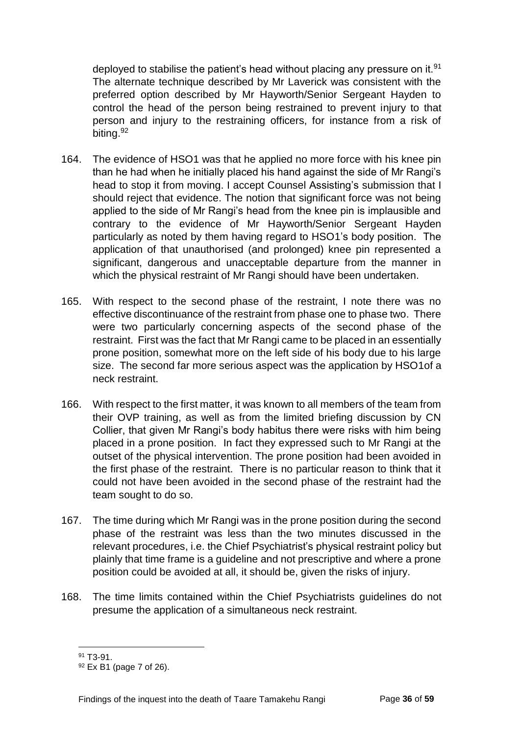deployed to stabilise the patient's head without placing any pressure on it. $91$ The alternate technique described by Mr Laverick was consistent with the preferred option described by Mr Hayworth/Senior Sergeant Hayden to control the head of the person being restrained to prevent injury to that person and injury to the restraining officers, for instance from a risk of biting.<sup>92</sup>

- 164. The evidence of HSO1 was that he applied no more force with his knee pin than he had when he initially placed his hand against the side of Mr Rangi's head to stop it from moving. I accept Counsel Assisting's submission that I should reject that evidence. The notion that significant force was not being applied to the side of Mr Rangi's head from the knee pin is implausible and contrary to the evidence of Mr Hayworth/Senior Sergeant Hayden particularly as noted by them having regard to HSO1's body position. The application of that unauthorised (and prolonged) knee pin represented a significant, dangerous and unacceptable departure from the manner in which the physical restraint of Mr Rangi should have been undertaken.
- 165. With respect to the second phase of the restraint, I note there was no effective discontinuance of the restraint from phase one to phase two. There were two particularly concerning aspects of the second phase of the restraint. First was the fact that Mr Rangi came to be placed in an essentially prone position, somewhat more on the left side of his body due to his large size. The second far more serious aspect was the application by HSO1of a neck restraint.
- 166. With respect to the first matter, it was known to all members of the team from their OVP training, as well as from the limited briefing discussion by CN Collier, that given Mr Rangi's body habitus there were risks with him being placed in a prone position. In fact they expressed such to Mr Rangi at the outset of the physical intervention. The prone position had been avoided in the first phase of the restraint. There is no particular reason to think that it could not have been avoided in the second phase of the restraint had the team sought to do so.
- 167. The time during which Mr Rangi was in the prone position during the second phase of the restraint was less than the two minutes discussed in the relevant procedures, i.e. the Chief Psychiatrist's physical restraint policy but plainly that time frame is a guideline and not prescriptive and where a prone position could be avoided at all, it should be, given the risks of injury.
- 168. The time limits contained within the Chief Psychiatrists guidelines do not presume the application of a simultaneous neck restraint.

l <sup>91</sup> T3-91.

<sup>92</sup> Ex B1 (page 7 of 26).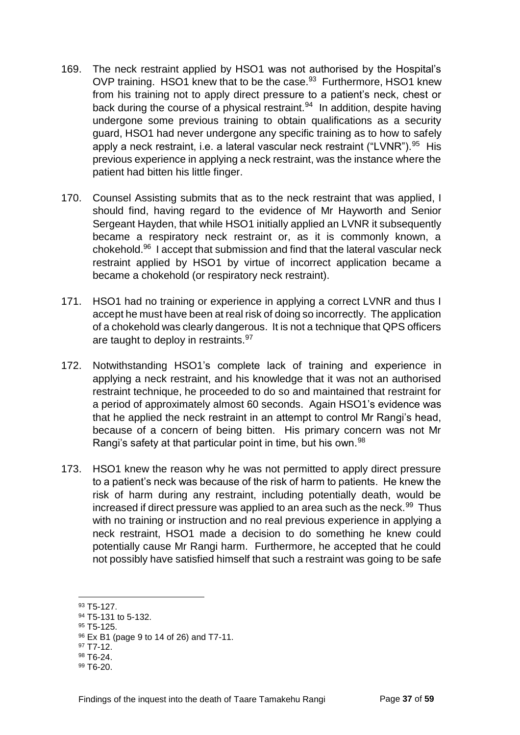- 169. The neck restraint applied by HSO1 was not authorised by the Hospital's OVP training. HSO1 knew that to be the case.<sup>93</sup> Furthermore, HSO1 knew from his training not to apply direct pressure to a patient's neck, chest or back during the course of a physical restraint.<sup>94</sup> In addition, despite having undergone some previous training to obtain qualifications as a security guard, HSO1 had never undergone any specific training as to how to safely apply a neck restraint, i.e. a lateral vascular neck restraint ("LVNR").<sup>95</sup> His previous experience in applying a neck restraint, was the instance where the patient had bitten his little finger.
- 170. Counsel Assisting submits that as to the neck restraint that was applied, I should find, having regard to the evidence of Mr Hayworth and Senior Sergeant Hayden, that while HSO1 initially applied an LVNR it subsequently became a respiratory neck restraint or, as it is commonly known, a chokehold.<sup>96</sup> I accept that submission and find that the lateral vascular neck restraint applied by HSO1 by virtue of incorrect application became a became a chokehold (or respiratory neck restraint).
- 171. HSO1 had no training or experience in applying a correct LVNR and thus I accept he must have been at real risk of doing so incorrectly. The application of a chokehold was clearly dangerous. It is not a technique that QPS officers are taught to deploy in restraints. 97
- 172. Notwithstanding HSO1's complete lack of training and experience in applying a neck restraint, and his knowledge that it was not an authorised restraint technique, he proceeded to do so and maintained that restraint for a period of approximately almost 60 seconds. Again HSO1's evidence was that he applied the neck restraint in an attempt to control Mr Rangi's head, because of a concern of being bitten. His primary concern was not Mr Rangi's safety at that particular point in time, but his own.<sup>98</sup>
- 173. HSO1 knew the reason why he was not permitted to apply direct pressure to a patient's neck was because of the risk of harm to patients. He knew the risk of harm during any restraint, including potentially death, would be increased if direct pressure was applied to an area such as the neck.<sup>99</sup> Thus with no training or instruction and no real previous experience in applying a neck restraint, HSO1 made a decision to do something he knew could potentially cause Mr Rangi harm. Furthermore, he accepted that he could not possibly have satisfied himself that such a restraint was going to be safe

l

95 T5-125.

<sup>98</sup> T6-24.

<sup>93</sup> T5-127.

<sup>94</sup> T5-131 to 5-132.

<sup>96</sup> Ex B1 (page 9 to 14 of 26) and T7-11.

<sup>97</sup> T7-12.

 $99 T6 - 20.$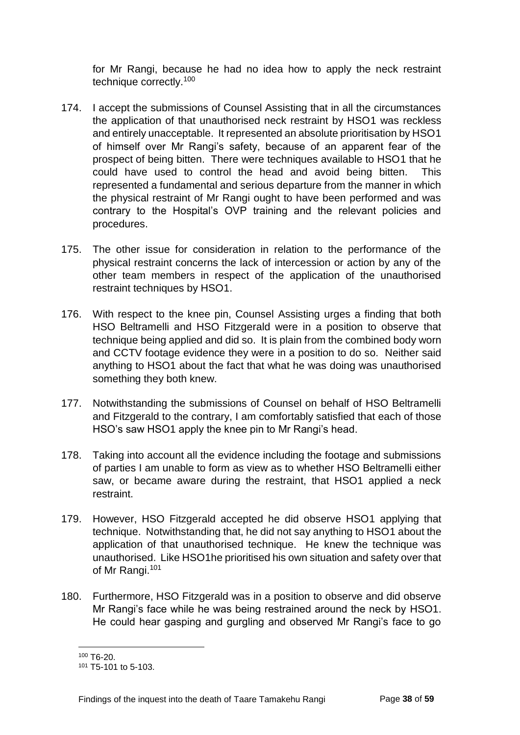for Mr Rangi, because he had no idea how to apply the neck restraint technique correctly.<sup>100</sup>

- 174. I accept the submissions of Counsel Assisting that in all the circumstances the application of that unauthorised neck restraint by HSO1 was reckless and entirely unacceptable. It represented an absolute prioritisation by HSO1 of himself over Mr Rangi's safety, because of an apparent fear of the prospect of being bitten. There were techniques available to HSO1 that he could have used to control the head and avoid being bitten. This represented a fundamental and serious departure from the manner in which the physical restraint of Mr Rangi ought to have been performed and was contrary to the Hospital's OVP training and the relevant policies and procedures.
- 175. The other issue for consideration in relation to the performance of the physical restraint concerns the lack of intercession or action by any of the other team members in respect of the application of the unauthorised restraint techniques by HSO1.
- 176. With respect to the knee pin, Counsel Assisting urges a finding that both HSO Beltramelli and HSO Fitzgerald were in a position to observe that technique being applied and did so. It is plain from the combined body worn and CCTV footage evidence they were in a position to do so. Neither said anything to HSO1 about the fact that what he was doing was unauthorised something they both knew.
- 177. Notwithstanding the submissions of Counsel on behalf of HSO Beltramelli and Fitzgerald to the contrary, I am comfortably satisfied that each of those HSO's saw HSO1 apply the knee pin to Mr Rangi's head.
- 178. Taking into account all the evidence including the footage and submissions of parties I am unable to form as view as to whether HSO Beltramelli either saw, or became aware during the restraint, that HSO1 applied a neck restraint.
- 179. However, HSO Fitzgerald accepted he did observe HSO1 applying that technique. Notwithstanding that, he did not say anything to HSO1 about the application of that unauthorised technique. He knew the technique was unauthorised. Like HSO1he prioritised his own situation and safety over that of Mr Rangi.<sup>101</sup>
- 180. Furthermore, HSO Fitzgerald was in a position to observe and did observe Mr Rangi's face while he was being restrained around the neck by HSO1. He could hear gasping and gurgling and observed Mr Rangi's face to go

l <sup>100</sup> T6-20.

<sup>101</sup> T5-101 to 5-103.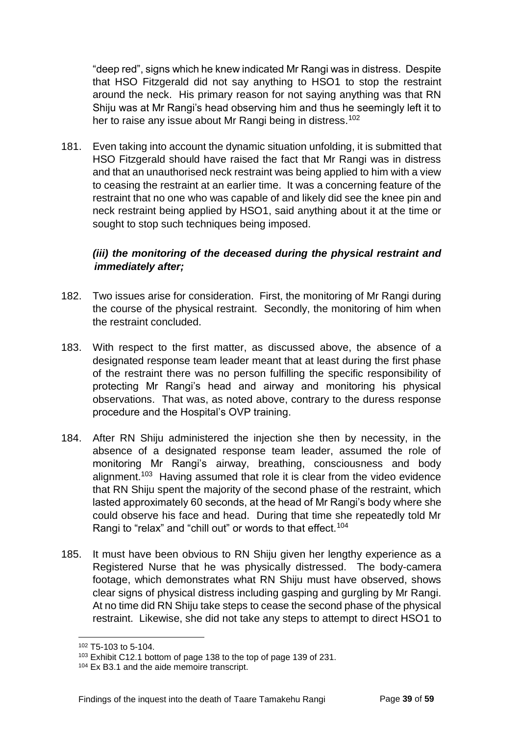"deep red", signs which he knew indicated Mr Rangi was in distress. Despite that HSO Fitzgerald did not say anything to HSO1 to stop the restraint around the neck. His primary reason for not saying anything was that RN Shiju was at Mr Rangi's head observing him and thus he seemingly left it to her to raise any issue about Mr Rangi being in distress.<sup>102</sup>

181. Even taking into account the dynamic situation unfolding, it is submitted that HSO Fitzgerald should have raised the fact that Mr Rangi was in distress and that an unauthorised neck restraint was being applied to him with a view to ceasing the restraint at an earlier time. It was a concerning feature of the restraint that no one who was capable of and likely did see the knee pin and neck restraint being applied by HSO1, said anything about it at the time or sought to stop such techniques being imposed.

#### *(iii) the monitoring of the deceased during the physical restraint and immediately after;*

- 182. Two issues arise for consideration. First, the monitoring of Mr Rangi during the course of the physical restraint. Secondly, the monitoring of him when the restraint concluded.
- 183. With respect to the first matter, as discussed above, the absence of a designated response team leader meant that at least during the first phase of the restraint there was no person fulfilling the specific responsibility of protecting Mr Rangi's head and airway and monitoring his physical observations. That was, as noted above, contrary to the duress response procedure and the Hospital's OVP training.
- 184. After RN Shiju administered the injection she then by necessity, in the absence of a designated response team leader, assumed the role of monitoring Mr Rangi's airway, breathing, consciousness and body alignment.<sup>103</sup> Having assumed that role it is clear from the video evidence that RN Shiju spent the majority of the second phase of the restraint, which lasted approximately 60 seconds, at the head of Mr Rangi's body where she could observe his face and head. During that time she repeatedly told Mr Rangi to "relax" and "chill out" or words to that effect.<sup>104</sup>
- 185. It must have been obvious to RN Shiju given her lengthy experience as a Registered Nurse that he was physically distressed. The body-camera footage, which demonstrates what RN Shiju must have observed, shows clear signs of physical distress including gasping and gurgling by Mr Rangi. At no time did RN Shiju take steps to cease the second phase of the physical restraint. Likewise, she did not take any steps to attempt to direct HSO1 to

<sup>102</sup> T5-103 to 5-104.

<sup>103</sup> Exhibit C12.1 bottom of page 138 to the top of page 139 of 231.

<sup>&</sup>lt;sup>104</sup> Ex B3.1 and the aide memoire transcript.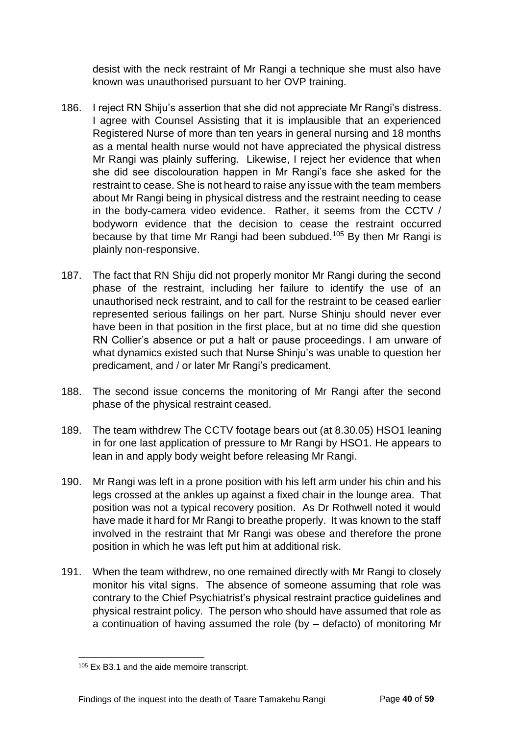desist with the neck restraint of Mr Rangi a technique she must also have known was unauthorised pursuant to her OVP training.

- 186. I reject RN Shiju's assertion that she did not appreciate Mr Rangi's distress. I agree with Counsel Assisting that it is implausible that an experienced Registered Nurse of more than ten years in general nursing and 18 months as a mental health nurse would not have appreciated the physical distress Mr Rangi was plainly suffering. Likewise, I reject her evidence that when she did see discolouration happen in Mr Rangi's face she asked for the restraint to cease. She is not heard to raise any issue with the team members about Mr Rangi being in physical distress and the restraint needing to cease in the body-camera video evidence. Rather, it seems from the CCTV / bodyworn evidence that the decision to cease the restraint occurred because by that time Mr Rangi had been subdued.<sup>105</sup> By then Mr Rangi is plainly non-responsive.
- 187. The fact that RN Shiju did not properly monitor Mr Rangi during the second phase of the restraint, including her failure to identify the use of an unauthorised neck restraint, and to call for the restraint to be ceased earlier represented serious failings on her part. Nurse Shinju should never ever have been in that position in the first place, but at no time did she question RN Collier's absence or put a halt or pause proceedings. I am unware of what dynamics existed such that Nurse Shinju's was unable to question her predicament, and / or later Mr Rangi's predicament.
- 188. The second issue concerns the monitoring of Mr Rangi after the second phase of the physical restraint ceased.
- 189. The team withdrew The CCTV footage bears out (at 8.30.05) HSO1 leaning in for one last application of pressure to Mr Rangi by HSO1. He appears to lean in and apply body weight before releasing Mr Rangi.
- 190. Mr Rangi was left in a prone position with his left arm under his chin and his legs crossed at the ankles up against a fixed chair in the lounge area. That position was not a typical recovery position. As Dr Rothwell noted it would have made it hard for Mr Rangi to breathe properly. It was known to the staff involved in the restraint that Mr Rangi was obese and therefore the prone position in which he was left put him at additional risk.
- 191. When the team withdrew, no one remained directly with Mr Rangi to closely monitor his vital signs. The absence of someone assuming that role was contrary to the Chief Psychiatrist's physical restraint practice guidelines and physical restraint policy. The person who should have assumed that role as a continuation of having assumed the role (by – defacto) of monitoring Mr

l <sup>105</sup> Ex B3.1 and the aide memoire transcript.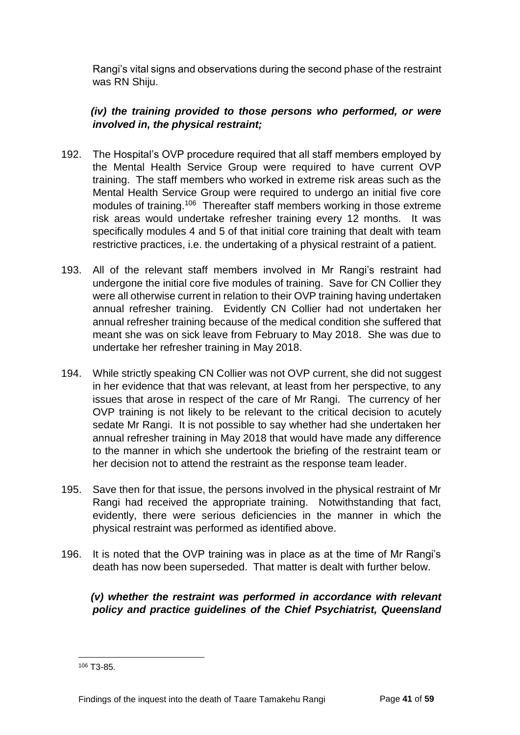Rangi's vital signs and observations during the second phase of the restraint was RN Shiju.

#### *(iv) the training provided to those persons who performed, or were involved in, the physical restraint;*

- 192. The Hospital's OVP procedure required that all staff members employed by the Mental Health Service Group were required to have current OVP training. The staff members who worked in extreme risk areas such as the Mental Health Service Group were required to undergo an initial five core modules of training.<sup>106</sup> Thereafter staff members working in those extreme risk areas would undertake refresher training every 12 months. It was specifically modules 4 and 5 of that initial core training that dealt with team restrictive practices, i.e. the undertaking of a physical restraint of a patient.
- 193. All of the relevant staff members involved in Mr Rangi's restraint had undergone the initial core five modules of training. Save for CN Collier they were all otherwise current in relation to their OVP training having undertaken annual refresher training. Evidently CN Collier had not undertaken her annual refresher training because of the medical condition she suffered that meant she was on sick leave from February to May 2018. She was due to undertake her refresher training in May 2018.
- 194. While strictly speaking CN Collier was not OVP current, she did not suggest in her evidence that that was relevant, at least from her perspective, to any issues that arose in respect of the care of Mr Rangi. The currency of her OVP training is not likely to be relevant to the critical decision to acutely sedate Mr Rangi. It is not possible to say whether had she undertaken her annual refresher training in May 2018 that would have made any difference to the manner in which she undertook the briefing of the restraint team or her decision not to attend the restraint as the response team leader.
- 195. Save then for that issue, the persons involved in the physical restraint of Mr Rangi had received the appropriate training. Notwithstanding that fact, evidently, there were serious deficiencies in the manner in which the physical restraint was performed as identified above.
- 196. It is noted that the OVP training was in place as at the time of Mr Rangi's death has now been superseded. That matter is dealt with further below.

#### *(v) whether the restraint was performed in accordance with relevant policy and practice guidelines of the Chief Psychiatrist, Queensland*

<sup>106</sup> T3-85.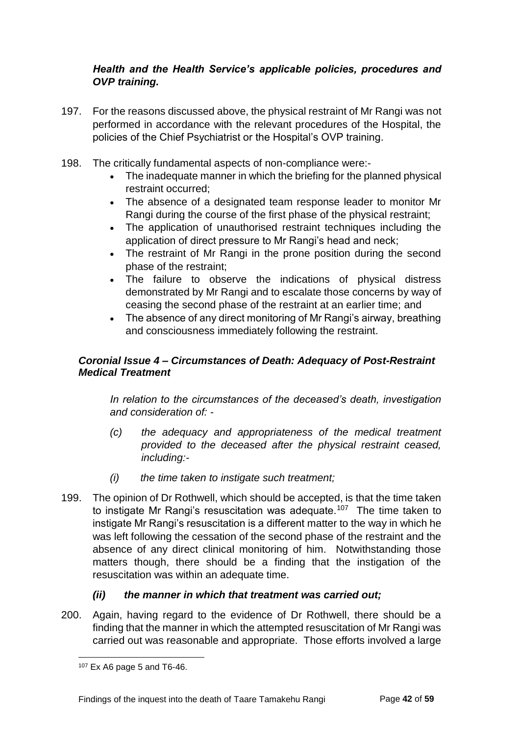#### *Health and the Health Service's applicable policies, procedures and OVP training.*

- 197. For the reasons discussed above, the physical restraint of Mr Rangi was not performed in accordance with the relevant procedures of the Hospital, the policies of the Chief Psychiatrist or the Hospital's OVP training.
- 198. The critically fundamental aspects of non-compliance were:-
	- The inadequate manner in which the briefing for the planned physical restraint occurred;
	- The absence of a designated team response leader to monitor Mr Rangi during the course of the first phase of the physical restraint;
	- The application of unauthorised restraint techniques including the application of direct pressure to Mr Rangi's head and neck;
	- The restraint of Mr Rangi in the prone position during the second phase of the restraint;
	- The failure to observe the indications of physical distress demonstrated by Mr Rangi and to escalate those concerns by way of ceasing the second phase of the restraint at an earlier time; and
	- The absence of any direct monitoring of Mr Rangi's airway, breathing and consciousness immediately following the restraint.

#### <span id="page-44-0"></span>*Coronial Issue 4 – Circumstances of Death: Adequacy of Post-Restraint Medical Treatment*

*In relation to the circumstances of the deceased's death, investigation and consideration of: -*

- *(c) the adequacy and appropriateness of the medical treatment provided to the deceased after the physical restraint ceased, including:-*
- *(i) the time taken to instigate such treatment;*
- 199. The opinion of Dr Rothwell, which should be accepted, is that the time taken to instigate Mr Rangi's resuscitation was adequate.<sup>107</sup> The time taken to instigate Mr Rangi's resuscitation is a different matter to the way in which he was left following the cessation of the second phase of the restraint and the absence of any direct clinical monitoring of him. Notwithstanding those matters though, there should be a finding that the instigation of the resuscitation was within an adequate time.

#### *(ii) the manner in which that treatment was carried out;*

200. Again, having regard to the evidence of Dr Rothwell, there should be a finding that the manner in which the attempted resuscitation of Mr Rangi was carried out was reasonable and appropriate. Those efforts involved a large

l <sup>107</sup> Ex A6 page 5 and T6-46.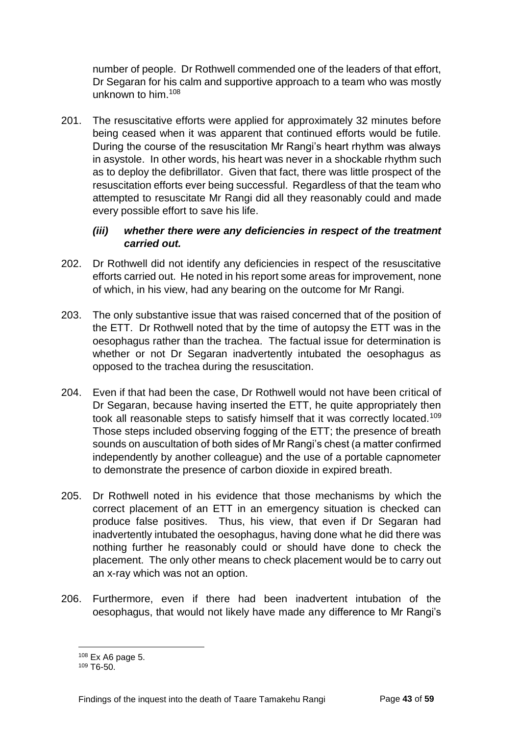number of people. Dr Rothwell commended one of the leaders of that effort, Dr Segaran for his calm and supportive approach to a team who was mostly unknown to him.<sup>108</sup>

201. The resuscitative efforts were applied for approximately 32 minutes before being ceased when it was apparent that continued efforts would be futile. During the course of the resuscitation Mr Rangi's heart rhythm was always in asystole. In other words, his heart was never in a shockable rhythm such as to deploy the defibrillator. Given that fact, there was little prospect of the resuscitation efforts ever being successful. Regardless of that the team who attempted to resuscitate Mr Rangi did all they reasonably could and made every possible effort to save his life.

#### *(iii) whether there were any deficiencies in respect of the treatment carried out.*

- 202. Dr Rothwell did not identify any deficiencies in respect of the resuscitative efforts carried out. He noted in his report some areas for improvement, none of which, in his view, had any bearing on the outcome for Mr Rangi.
- 203. The only substantive issue that was raised concerned that of the position of the ETT. Dr Rothwell noted that by the time of autopsy the ETT was in the oesophagus rather than the trachea. The factual issue for determination is whether or not Dr Segaran inadvertently intubated the oesophagus as opposed to the trachea during the resuscitation.
- 204. Even if that had been the case, Dr Rothwell would not have been critical of Dr Segaran, because having inserted the ETT, he quite appropriately then took all reasonable steps to satisfy himself that it was correctly located.<sup>109</sup> Those steps included observing fogging of the ETT; the presence of breath sounds on auscultation of both sides of Mr Rangi's chest (a matter confirmed independently by another colleague) and the use of a portable capnometer to demonstrate the presence of carbon dioxide in expired breath.
- 205. Dr Rothwell noted in his evidence that those mechanisms by which the correct placement of an ETT in an emergency situation is checked can produce false positives. Thus, his view, that even if Dr Segaran had inadvertently intubated the oesophagus, having done what he did there was nothing further he reasonably could or should have done to check the placement. The only other means to check placement would be to carry out an x-ray which was not an option.
- 206. Furthermore, even if there had been inadvertent intubation of the oesophagus, that would not likely have made any difference to Mr Rangi's

<sup>108</sup> Ex A6 page 5.

 $109$  T<sub>6-50</sub>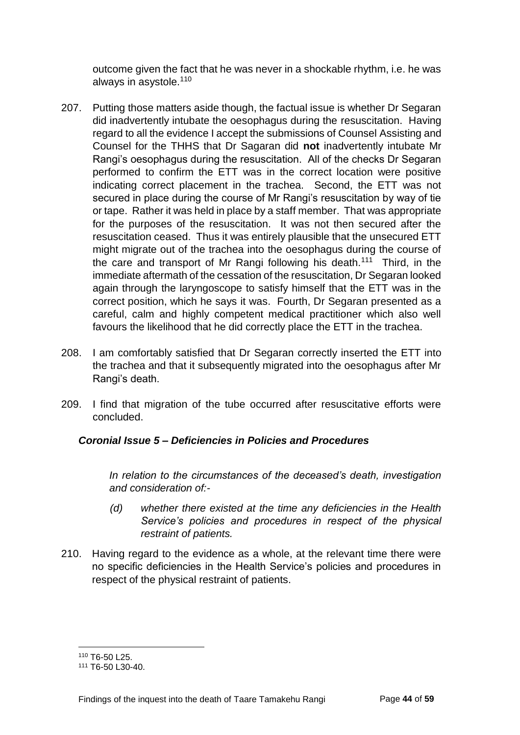outcome given the fact that he was never in a shockable rhythm, i.e. he was always in asystole.<sup>110</sup>

- 207. Putting those matters aside though, the factual issue is whether Dr Segaran did inadvertently intubate the oesophagus during the resuscitation. Having regard to all the evidence I accept the submissions of Counsel Assisting and Counsel for the THHS that Dr Sagaran did **not** inadvertently intubate Mr Rangi's oesophagus during the resuscitation. All of the checks Dr Segaran performed to confirm the ETT was in the correct location were positive indicating correct placement in the trachea. Second, the ETT was not secured in place during the course of Mr Rangi's resuscitation by way of tie or tape. Rather it was held in place by a staff member. That was appropriate for the purposes of the resuscitation. It was not then secured after the resuscitation ceased. Thus it was entirely plausible that the unsecured ETT might migrate out of the trachea into the oesophagus during the course of the care and transport of Mr Rangi following his death.<sup>111</sup> Third, in the immediate aftermath of the cessation of the resuscitation, Dr Segaran looked again through the laryngoscope to satisfy himself that the ETT was in the correct position, which he says it was. Fourth, Dr Segaran presented as a careful, calm and highly competent medical practitioner which also well favours the likelihood that he did correctly place the ETT in the trachea.
- 208. I am comfortably satisfied that Dr Segaran correctly inserted the ETT into the trachea and that it subsequently migrated into the oesophagus after Mr Rangi's death.
- 209. I find that migration of the tube occurred after resuscitative efforts were concluded.

#### <span id="page-46-0"></span>*Coronial Issue 5 – Deficiencies in Policies and Procedures*

*In relation to the circumstances of the deceased's death, investigation and consideration of:-*

- *(d) whether there existed at the time any deficiencies in the Health Service's policies and procedures in respect of the physical restraint of patients.*
- 210. Having regard to the evidence as a whole, at the relevant time there were no specific deficiencies in the Health Service's policies and procedures in respect of the physical restraint of patients.

l <sup>110</sup> T6-50 L25.

<sup>111</sup> T6-50 L30-40.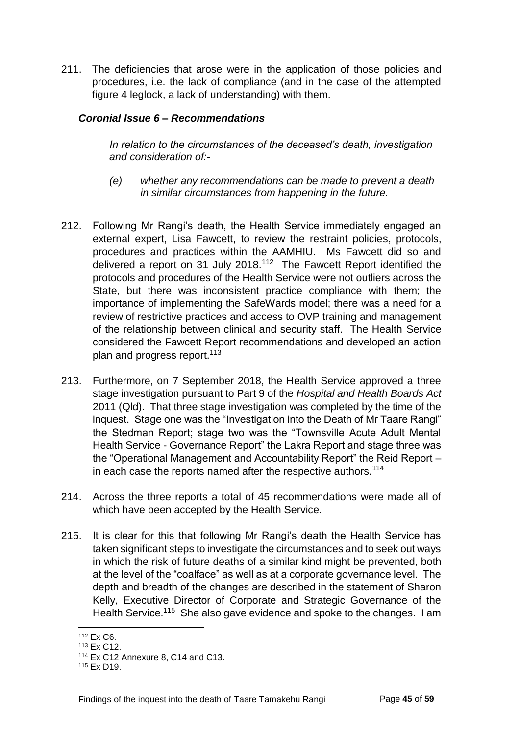211. The deficiencies that arose were in the application of those policies and procedures, i.e. the lack of compliance (and in the case of the attempted figure 4 leglock, a lack of understanding) with them.

#### <span id="page-47-0"></span>*Coronial Issue 6 – Recommendations*

*In relation to the circumstances of the deceased's death, investigation and consideration of:-*

- *(e) whether any recommendations can be made to prevent a death in similar circumstances from happening in the future.*
- 212. Following Mr Rangi's death, the Health Service immediately engaged an external expert, Lisa Fawcett, to review the restraint policies, protocols, procedures and practices within the AAMHIU. Ms Fawcett did so and delivered a report on 31 July 2018.<sup>112</sup> The Fawcett Report identified the protocols and procedures of the Health Service were not outliers across the State, but there was inconsistent practice compliance with them; the importance of implementing the SafeWards model; there was a need for a review of restrictive practices and access to OVP training and management of the relationship between clinical and security staff. The Health Service considered the Fawcett Report recommendations and developed an action plan and progress report.<sup>113</sup>
- 213. Furthermore, on 7 September 2018, the Health Service approved a three stage investigation pursuant to Part 9 of the *Hospital and Health Boards Act* 2011 (Qld). That three stage investigation was completed by the time of the inquest. Stage one was the "Investigation into the Death of Mr Taare Rangi" the Stedman Report; stage two was the "Townsville Acute Adult Mental Health Service - Governance Report" the Lakra Report and stage three was the "Operational Management and Accountability Report" the Reid Report in each case the reports named after the respective authors.<sup>114</sup>
- 214. Across the three reports a total of 45 recommendations were made all of which have been accepted by the Health Service.
- 215. It is clear for this that following Mr Rangi's death the Health Service has taken significant steps to investigate the circumstances and to seek out ways in which the risk of future deaths of a similar kind might be prevented, both at the level of the "coalface" as well as at a corporate governance level. The depth and breadth of the changes are described in the statement of Sharon Kelly, Executive Director of Corporate and Strategic Governance of the Health Service.<sup>115</sup> She also gave evidence and spoke to the changes. I am

<sup>112</sup> Ex C6.

<sup>113</sup> Ex C12.

<sup>114</sup> Ex C12 Annexure 8, C14 and C13.

<sup>115</sup> Ex D19.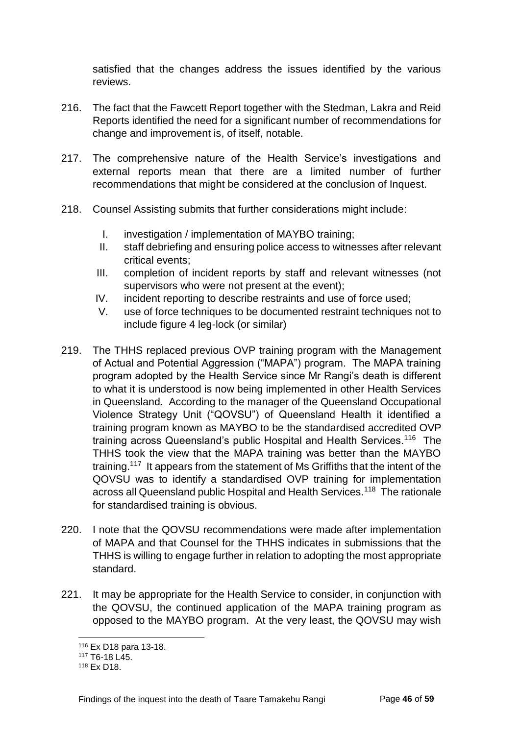satisfied that the changes address the issues identified by the various reviews.

- 216. The fact that the Fawcett Report together with the Stedman, Lakra and Reid Reports identified the need for a significant number of recommendations for change and improvement is, of itself, notable.
- 217. The comprehensive nature of the Health Service's investigations and external reports mean that there are a limited number of further recommendations that might be considered at the conclusion of Inquest.
- 218. Counsel Assisting submits that further considerations might include:
	- I. investigation / implementation of MAYBO training;
	- II. staff debriefing and ensuring police access to witnesses after relevant critical events;
	- III. completion of incident reports by staff and relevant witnesses (not supervisors who were not present at the event);
	- IV. incident reporting to describe restraints and use of force used;
	- V. use of force techniques to be documented restraint techniques not to include figure 4 leg-lock (or similar)
- 219. The THHS replaced previous OVP training program with the Management of Actual and Potential Aggression ("MAPA") program. The MAPA training program adopted by the Health Service since Mr Rangi's death is different to what it is understood is now being implemented in other Health Services in Queensland. According to the manager of the Queensland Occupational Violence Strategy Unit ("QOVSU") of Queensland Health it identified a training program known as MAYBO to be the standardised accredited OVP training across Queensland's public Hospital and Health Services.<sup>116</sup> The THHS took the view that the MAPA training was better than the MAYBO training.<sup>117</sup> It appears from the statement of Ms Griffiths that the intent of the QOVSU was to identify a standardised OVP training for implementation across all Queensland public Hospital and Health Services.<sup>118</sup> The rationale for standardised training is obvious.
- 220. I note that the QOVSU recommendations were made after implementation of MAPA and that Counsel for the THHS indicates in submissions that the THHS is willing to engage further in relation to adopting the most appropriate standard.
- 221. It may be appropriate for the Health Service to consider, in conjunction with the QOVSU, the continued application of the MAPA training program as opposed to the MAYBO program. At the very least, the QOVSU may wish

<sup>116</sup> Ex D18 para 13-18.

<sup>117</sup> T6-18 L45.

<sup>118</sup> Ex D18.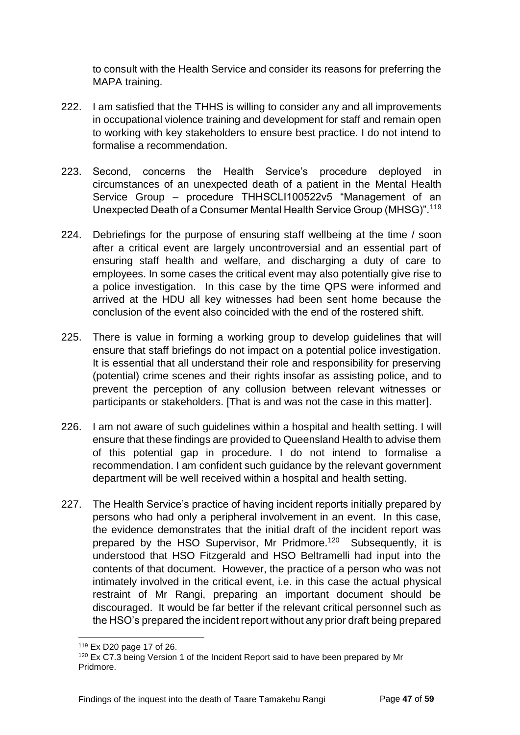to consult with the Health Service and consider its reasons for preferring the MAPA training.

- 222. I am satisfied that the THHS is willing to consider any and all improvements in occupational violence training and development for staff and remain open to working with key stakeholders to ensure best practice. I do not intend to formalise a recommendation.
- 223. Second, concerns the Health Service's procedure deployed in circumstances of an unexpected death of a patient in the Mental Health Service Group – procedure THHSCLI100522v5 "Management of an Unexpected Death of a Consumer Mental Health Service Group (MHSG)".<sup>119</sup>
- 224. Debriefings for the purpose of ensuring staff wellbeing at the time / soon after a critical event are largely uncontroversial and an essential part of ensuring staff health and welfare, and discharging a duty of care to employees. In some cases the critical event may also potentially give rise to a police investigation. In this case by the time QPS were informed and arrived at the HDU all key witnesses had been sent home because the conclusion of the event also coincided with the end of the rostered shift.
- 225. There is value in forming a working group to develop guidelines that will ensure that staff briefings do not impact on a potential police investigation. It is essential that all understand their role and responsibility for preserving (potential) crime scenes and their rights insofar as assisting police, and to prevent the perception of any collusion between relevant witnesses or participants or stakeholders. [That is and was not the case in this matter].
- 226. I am not aware of such guidelines within a hospital and health setting. I will ensure that these findings are provided to Queensland Health to advise them of this potential gap in procedure. I do not intend to formalise a recommendation. I am confident such guidance by the relevant government department will be well received within a hospital and health setting.
- 227. The Health Service's practice of having incident reports initially prepared by persons who had only a peripheral involvement in an event. In this case, the evidence demonstrates that the initial draft of the incident report was prepared by the HSO Supervisor, Mr Pridmore.<sup>120</sup> Subsequently, it is understood that HSO Fitzgerald and HSO Beltramelli had input into the contents of that document. However, the practice of a person who was not intimately involved in the critical event, i.e. in this case the actual physical restraint of Mr Rangi, preparing an important document should be discouraged. It would be far better if the relevant critical personnel such as the HSO's prepared the incident report without any prior draft being prepared

<sup>119</sup> Ex D20 page 17 of 26.

<sup>&</sup>lt;sup>120</sup> Ex C7.3 being Version 1 of the Incident Report said to have been prepared by Mr Pridmore.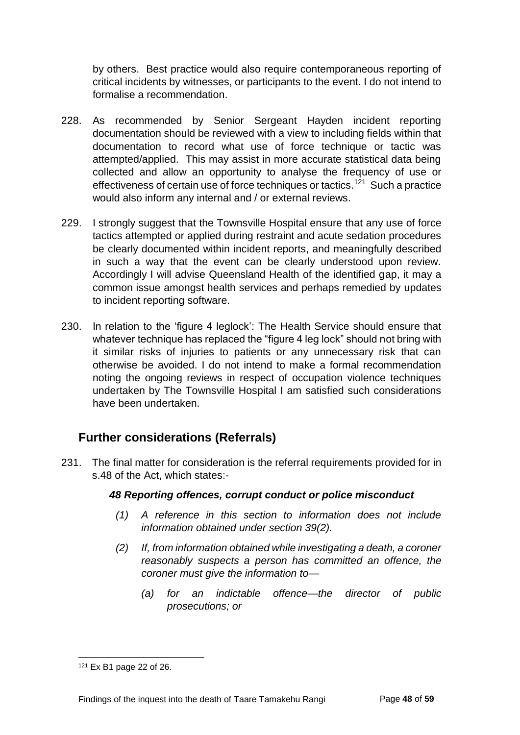by others. Best practice would also require contemporaneous reporting of critical incidents by witnesses, or participants to the event. I do not intend to formalise a recommendation.

- 228. As recommended by Senior Sergeant Hayden incident reporting documentation should be reviewed with a view to including fields within that documentation to record what use of force technique or tactic was attempted/applied. This may assist in more accurate statistical data being collected and allow an opportunity to analyse the frequency of use or effectiveness of certain use of force techniques or tactics.<sup>121</sup> Such a practice would also inform any internal and / or external reviews.
- 229. I strongly suggest that the Townsville Hospital ensure that any use of force tactics attempted or applied during restraint and acute sedation procedures be clearly documented within incident reports, and meaningfully described in such a way that the event can be clearly understood upon review. Accordingly I will advise Queensland Health of the identified gap, it may a common issue amongst health services and perhaps remedied by updates to incident reporting software.
- 230. In relation to the 'figure 4 leglock': The Health Service should ensure that whatever technique has replaced the "figure 4 leg lock" should not bring with it similar risks of injuries to patients or any unnecessary risk that can otherwise be avoided. I do not intend to make a formal recommendation noting the ongoing reviews in respect of occupation violence techniques undertaken by The Townsville Hospital I am satisfied such considerations have been undertaken.

## <span id="page-50-0"></span>**Further considerations (Referrals)**

231. The final matter for consideration is the referral requirements provided for in s.48 of the Act, which states:-

#### *48 Reporting offences, corrupt conduct or police misconduct*

- *(1) A reference in this section to information does not include information obtained under section 39(2).*
- *(2) If, from information obtained while investigating a death, a coroner reasonably suspects a person has committed an offence, the coroner must give the information to—*
	- *(a) for an indictable offence—the director of public prosecutions; or*

<sup>121</sup> Ex B1 page 22 of 26.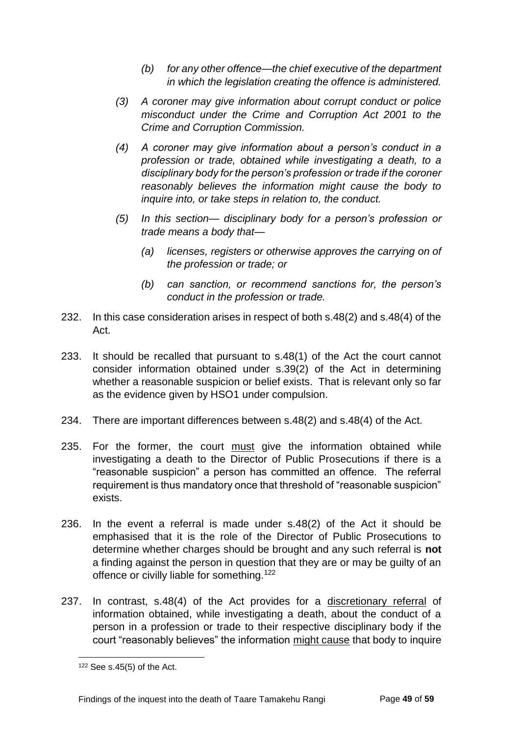- *(b) for any other offence—the chief executive of the department in which the legislation creating the offence is administered.*
- *(3) A coroner may give information about corrupt conduct or police misconduct under the Crime and Corruption Act 2001 to the Crime and Corruption Commission.*
- *(4) A coroner may give information about a person's conduct in a profession or trade, obtained while investigating a death, to a disciplinary body for the person's profession or trade if the coroner reasonably believes the information might cause the body to inquire into, or take steps in relation to, the conduct.*
- *(5) In this section— disciplinary body for a person's profession or trade means a body that—*
	- *(a) licenses, registers or otherwise approves the carrying on of the profession or trade; or*
	- *(b) can sanction, or recommend sanctions for, the person's conduct in the profession or trade.*
- 232. In this case consideration arises in respect of both s.48(2) and s.48(4) of the Act.
- 233. It should be recalled that pursuant to s.48(1) of the Act the court cannot consider information obtained under s.39(2) of the Act in determining whether a reasonable suspicion or belief exists. That is relevant only so far as the evidence given by HSO1 under compulsion.
- 234. There are important differences between s.48(2) and s.48(4) of the Act.
- 235. For the former, the court must give the information obtained while investigating a death to the Director of Public Prosecutions if there is a "reasonable suspicion" a person has committed an offence. The referral requirement is thus mandatory once that threshold of "reasonable suspicion" exists.
- 236. In the event a referral is made under s.48(2) of the Act it should be emphasised that it is the role of the Director of Public Prosecutions to determine whether charges should be brought and any such referral is **not**  a finding against the person in question that they are or may be guilty of an offence or civilly liable for something.<sup>122</sup>
- 237. In contrast, s.48(4) of the Act provides for a discretionary referral of information obtained, while investigating a death, about the conduct of a person in a profession or trade to their respective disciplinary body if the court "reasonably believes" the information might cause that body to inquire

 $122$  See s.45(5) of the Act.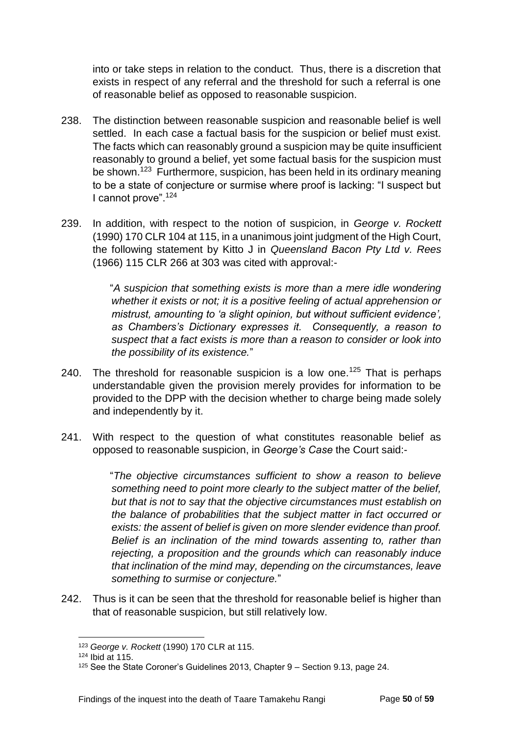into or take steps in relation to the conduct. Thus, there is a discretion that exists in respect of any referral and the threshold for such a referral is one of reasonable belief as opposed to reasonable suspicion.

- 238. The distinction between reasonable suspicion and reasonable belief is well settled. In each case a factual basis for the suspicion or belief must exist. The facts which can reasonably ground a suspicion may be quite insufficient reasonably to ground a belief, yet some factual basis for the suspicion must be shown.<sup>123</sup> Furthermore, suspicion, has been held in its ordinary meaning to be a state of conjecture or surmise where proof is lacking: "I suspect but I cannot prove".<sup>124</sup>
- 239. In addition, with respect to the notion of suspicion, in *George v. Rockett* (1990) 170 CLR 104 at 115, in a unanimous joint judgment of the High Court, the following statement by Kitto J in *Queensland Bacon Pty Ltd v. Rees* (1966) 115 CLR 266 at 303 was cited with approval:-

"*A suspicion that something exists is more than a mere idle wondering whether it exists or not; it is a positive feeling of actual apprehension or mistrust, amounting to 'a slight opinion, but without sufficient evidence', as Chambers's Dictionary expresses it. Consequently, a reason to suspect that a fact exists is more than a reason to consider or look into the possibility of its existence.*"

- 240. The threshold for reasonable suspicion is a low one.<sup>125</sup> That is perhaps understandable given the provision merely provides for information to be provided to the DPP with the decision whether to charge being made solely and independently by it.
- 241. With respect to the question of what constitutes reasonable belief as opposed to reasonable suspicion, in *George's Case* the Court said:-

"*The objective circumstances sufficient to show a reason to believe something need to point more clearly to the subject matter of the belief, but that is not to say that the objective circumstances must establish on the balance of probabilities that the subject matter in fact occurred or exists: the assent of belief is given on more slender evidence than proof. Belief is an inclination of the mind towards assenting to, rather than rejecting, a proposition and the grounds which can reasonably induce that inclination of the mind may, depending on the circumstances, leave something to surmise or conjecture.*"

242. Thus is it can be seen that the threshold for reasonable belief is higher than that of reasonable suspicion, but still relatively low.

l <sup>123</sup> *George v. Rockett* (1990) 170 CLR at 115.

<sup>124</sup> Ibid at 115.

<sup>125</sup> See the State Coroner's Guidelines 2013, Chapter 9 – Section 9.13, page 24.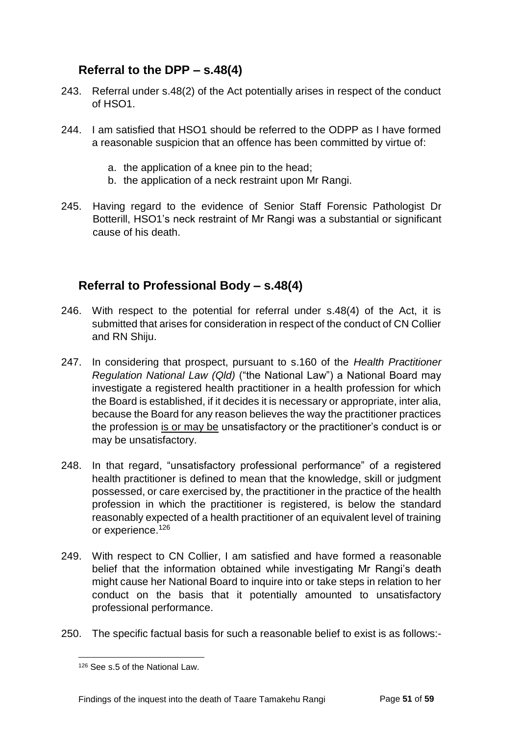## <span id="page-53-0"></span>**Referral to the DPP – s.48(4)**

- 243. Referral under s.48(2) of the Act potentially arises in respect of the conduct  $of HSO1$ .
- 244. I am satisfied that HSO1 should be referred to the ODPP as I have formed a reasonable suspicion that an offence has been committed by virtue of:
	- a. the application of a knee pin to the head;
	- b. the application of a neck restraint upon Mr Rangi.
- 245. Having regard to the evidence of Senior Staff Forensic Pathologist Dr Botterill, HSO1's neck restraint of Mr Rangi was a substantial or significant cause of his death.

## <span id="page-53-1"></span>**Referral to Professional Body – s.48(4)**

- 246. With respect to the potential for referral under s.48(4) of the Act, it is submitted that arises for consideration in respect of the conduct of CN Collier and RN Shiju.
- 247. In considering that prospect, pursuant to s.160 of the *Health Practitioner Regulation National Law (Qld)* ("the National Law") a National Board may investigate a registered health practitioner in a health profession for which the Board is established, if it decides it is necessary or appropriate, inter alia, because the Board for any reason believes the way the practitioner practices the profession is or may be unsatisfactory or the practitioner's conduct is or may be unsatisfactory.
- 248. In that regard, "unsatisfactory professional performance" of a registered health practitioner is defined to mean that the knowledge, skill or judgment possessed, or care exercised by, the practitioner in the practice of the health profession in which the practitioner is registered, is below the standard reasonably expected of a health practitioner of an equivalent level of training or experience.<sup>126</sup>
- 249. With respect to CN Collier, I am satisfied and have formed a reasonable belief that the information obtained while investigating Mr Rangi's death might cause her National Board to inquire into or take steps in relation to her conduct on the basis that it potentially amounted to unsatisfactory professional performance.
- 250. The specific factual basis for such a reasonable belief to exist is as follows:-

<sup>126</sup> See s.5 of the National Law.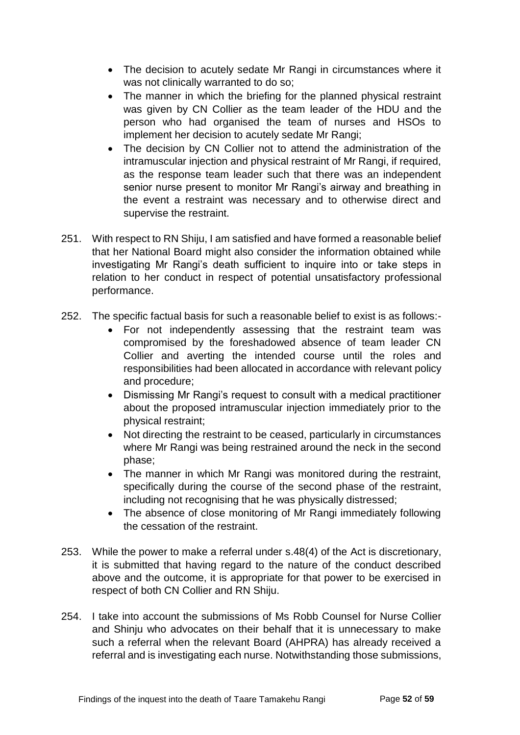- The decision to acutely sedate Mr Rangi in circumstances where it was not clinically warranted to do so;
- The manner in which the briefing for the planned physical restraint was given by CN Collier as the team leader of the HDU and the person who had organised the team of nurses and HSOs to implement her decision to acutely sedate Mr Rangi;
- The decision by CN Collier not to attend the administration of the intramuscular injection and physical restraint of Mr Rangi, if required, as the response team leader such that there was an independent senior nurse present to monitor Mr Rangi's airway and breathing in the event a restraint was necessary and to otherwise direct and supervise the restraint.
- 251. With respect to RN Shiju, I am satisfied and have formed a reasonable belief that her National Board might also consider the information obtained while investigating Mr Rangi's death sufficient to inquire into or take steps in relation to her conduct in respect of potential unsatisfactory professional performance.
- 252. The specific factual basis for such a reasonable belief to exist is as follows:-
	- For not independently assessing that the restraint team was compromised by the foreshadowed absence of team leader CN Collier and averting the intended course until the roles and responsibilities had been allocated in accordance with relevant policy and procedure;
	- Dismissing Mr Rangi's request to consult with a medical practitioner about the proposed intramuscular injection immediately prior to the physical restraint;
	- Not directing the restraint to be ceased, particularly in circumstances where Mr Rangi was being restrained around the neck in the second phase;
	- The manner in which Mr Rangi was monitored during the restraint, specifically during the course of the second phase of the restraint, including not recognising that he was physically distressed;
	- The absence of close monitoring of Mr Rangi immediately following the cessation of the restraint.
- 253. While the power to make a referral under s.48(4) of the Act is discretionary, it is submitted that having regard to the nature of the conduct described above and the outcome, it is appropriate for that power to be exercised in respect of both CN Collier and RN Shiju.
- 254. I take into account the submissions of Ms Robb Counsel for Nurse Collier and Shinju who advocates on their behalf that it is unnecessary to make such a referral when the relevant Board (AHPRA) has already received a referral and is investigating each nurse. Notwithstanding those submissions,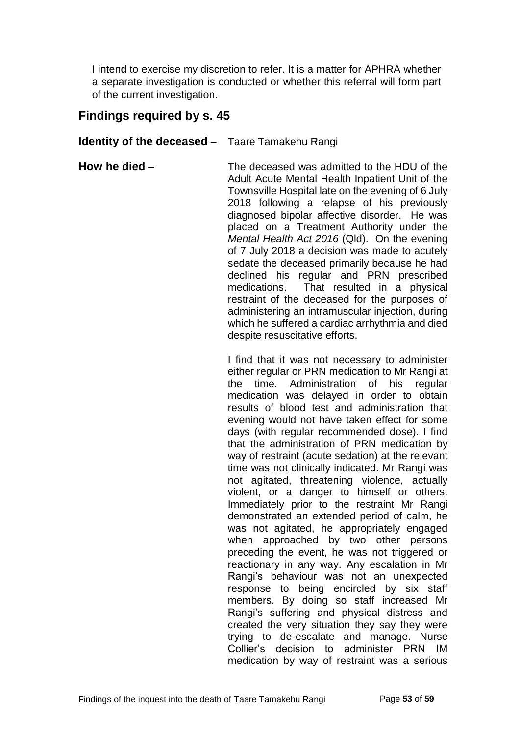I intend to exercise my discretion to refer. It is a matter for APHRA whether a separate investigation is conducted or whether this referral will form part of the current investigation.

## <span id="page-55-0"></span>**Findings required by s. 45**

<span id="page-55-1"></span>**Identity of the deceased** – Taare Tamakehu Rangi

<span id="page-55-2"></span>**How he died** – The deceased was admitted to the HDU of the Adult Acute Mental Health Inpatient Unit of the Townsville Hospital late on the evening of 6 July 2018 following a relapse of his previously diagnosed bipolar affective disorder. He was placed on a Treatment Authority under the *Mental Health Act 2016* (Qld). On the evening of 7 July 2018 a decision was made to acutely sedate the deceased primarily because he had declined his regular and PRN prescribed medications. That resulted in a physical restraint of the deceased for the purposes of administering an intramuscular injection, during which he suffered a cardiac arrhythmia and died despite resuscitative efforts.

> I find that it was not necessary to administer either regular or PRN medication to Mr Rangi at the time. Administration of his regular medication was delayed in order to obtain results of blood test and administration that evening would not have taken effect for some days (with regular recommended dose). I find that the administration of PRN medication by way of restraint (acute sedation) at the relevant time was not clinically indicated. Mr Rangi was not agitated, threatening violence, actually violent, or a danger to himself or others. Immediately prior to the restraint Mr Rangi demonstrated an extended period of calm, he was not agitated, he appropriately engaged when approached by two other persons preceding the event, he was not triggered or reactionary in any way. Any escalation in Mr Rangi's behaviour was not an unexpected response to being encircled by six staff members. By doing so staff increased Mr Rangi's suffering and physical distress and created the very situation they say they were trying to de-escalate and manage. Nurse Collier's decision to administer PRN IM medication by way of restraint was a serious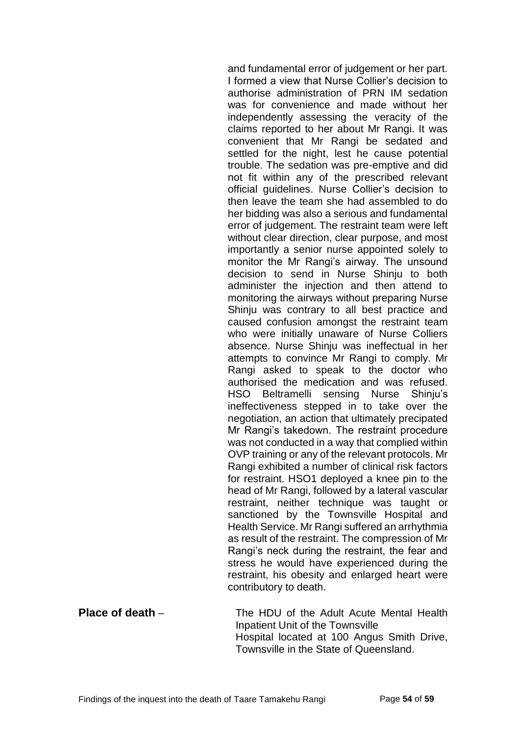and fundamental error of judgement or her part. I formed a view that Nurse Collier's decision to authorise administration of PRN IM sedation was for convenience and made without her independently assessing the veracity of the claims reported to her about Mr Rangi. It was convenient that Mr Rangi be sedated and settled for the night, lest he cause potential trouble. The sedation was pre-emptive and did not fit within any of the prescribed relevant official guidelines. Nurse Collier's decision to then leave the team she had assembled to do her bidding was also a serious and fundamental error of judgement. The restraint team were left without clear direction, clear purpose, and most importantly a senior nurse appointed solely to monitor the Mr Rangi's airway. The unsound decision to send in Nurse Shinju to both administer the injection and then attend to monitoring the airways without preparing Nurse Shinju was contrary to all best practice and caused confusion amongst the restraint team who were initially unaware of Nurse Colliers absence. Nurse Shinju was ineffectual in her attempts to convince Mr Rangi to comply. Mr Rangi asked to speak to the doctor who authorised the medication and was refused. HSO Beltramelli sensing Nurse Shinju's ineffectiveness stepped in to take over the negotiation, an action that ultimately precipated Mr Rangi's takedown. The restraint procedure was not conducted in a way that complied within OVP training or any of the relevant protocols. Mr Rangi exhibited a number of clinical risk factors for restraint. HSO1 deployed a knee pin to the head of Mr Rangi, followed by a lateral vascular restraint, neither technique was taught or sanctioned by the Townsville Hospital and Health Service. Mr Rangi suffered an arrhythmia as result of the restraint. The compression of Mr Rangi's neck during the restraint, the fear and stress he would have experienced during the restraint, his obesity and enlarged heart were contributory to death.

<span id="page-56-0"></span>**Place of death** – The HDU of the Adult Acute Mental Health Inpatient Unit of the Townsville Hospital located at 100 Angus Smith Drive, Townsville in the State of Queensland.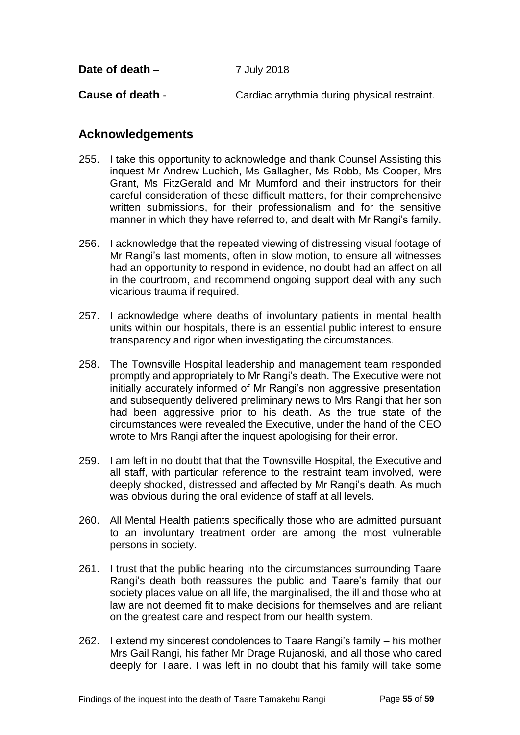<span id="page-57-1"></span><span id="page-57-0"></span>**Cause of death** - Cardiac arrythmia during physical restraint.

## <span id="page-57-2"></span>**Acknowledgements**

- 255. I take this opportunity to acknowledge and thank Counsel Assisting this inquest Mr Andrew Luchich, Ms Gallagher, Ms Robb, Ms Cooper, Mrs Grant, Ms FitzGerald and Mr Mumford and their instructors for their careful consideration of these difficult matters, for their comprehensive written submissions, for their professionalism and for the sensitive manner in which they have referred to, and dealt with Mr Rangi's family.
- 256. I acknowledge that the repeated viewing of distressing visual footage of Mr Rangi's last moments, often in slow motion, to ensure all witnesses had an opportunity to respond in evidence, no doubt had an affect on all in the courtroom, and recommend ongoing support deal with any such vicarious trauma if required.
- 257. I acknowledge where deaths of involuntary patients in mental health units within our hospitals, there is an essential public interest to ensure transparency and rigor when investigating the circumstances.
- 258. The Townsville Hospital leadership and management team responded promptly and appropriately to Mr Rangi's death. The Executive were not initially accurately informed of Mr Rangi's non aggressive presentation and subsequently delivered preliminary news to Mrs Rangi that her son had been aggressive prior to his death. As the true state of the circumstances were revealed the Executive, under the hand of the CEO wrote to Mrs Rangi after the inquest apologising for their error.
- 259. I am left in no doubt that that the Townsville Hospital, the Executive and all staff, with particular reference to the restraint team involved, were deeply shocked, distressed and affected by Mr Rangi's death. As much was obvious during the oral evidence of staff at all levels.
- 260. All Mental Health patients specifically those who are admitted pursuant to an involuntary treatment order are among the most vulnerable persons in society.
- 261. I trust that the public hearing into the circumstances surrounding Taare Rangi's death both reassures the public and Taare's family that our society places value on all life, the marginalised, the ill and those who at law are not deemed fit to make decisions for themselves and are reliant on the greatest care and respect from our health system.
- 262. I extend my sincerest condolences to Taare Rangi's family his mother Mrs Gail Rangi, his father Mr Drage Rujanoski, and all those who cared deeply for Taare. I was left in no doubt that his family will take some